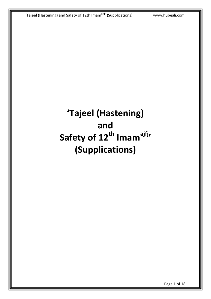# **'Tajeel (Hastening) and Safety of 12th Imamajfj' (Supplications)**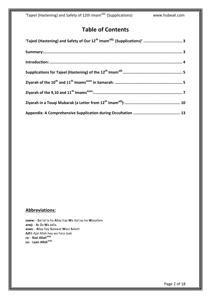### **Table of Contents**

#### **Abbreviations:**

**saww**: - **S**al lal la ho **A**llay hay **W**a Aal lay he **W**asallam **azwj:** - **A**z **Z**a **W**a **J**alla **asws:** - **A**llay hay **S**alawat **W**ass **S**alam **AJFJ:** Ajal Allah hey wa Fara Jaak **ra:** - **Razi Allahazwj La:** - **Laan Allahazwj**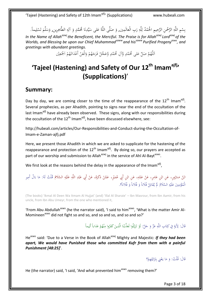بِسْمِ اللَّهِ الرَّحْمنِ الرَّحِيمِ الْحَمْدُ لِلَّهِ رَبِ الْعالَمِين, وَ صَلَّى اللَّهُ عَلى سَيِّدِنَا مُحَمَّدٍ وَ آلِهِ الطَّاهِرِين, وَسَلَّمَ تَسْلِيماً.<br>يُستمع اللَّهِ الرَّحْمنِ الرَّحِيمِ الْحَمْدُ لِلَّهِ رَبِ ْ ب ِ ِ ِ ل ا<br>ا **ٔ** َ لَّ  $\ddot{\phantom{0}}$ </sub><br>د <u>ہ</u> ِ َ .<br>∼ .<br>ن ن ِ ي  $\ddot{\phantom{0}}$ ِ ا  $\ddot{\phantom{0}}$ َ ِ ْ ت

*In the Name of Allahazwjthe Beneficent, the Merciful. The Praise is for Allahazwj Lordazwj of the Worlds, and Blessing be upon our Chief Muhammadsaww and hissaww Purified Progenyasws, and greetings with abundant greetings.*

> للَّهُمَّ صَلِّ عَلى مُحَمَّدٍ وَّآلِ مُحَمَّدٍ وَّعَجِّلْ فَرَجَهُمْ وَالْعَنْ أَعْدَائَهُمْ اَجْمَعِيْن ٍ<br>ٍ ا ْ  $\overline{\phantom{a}}$ ْ َ ْ َ َ <u>ّ</u> **ٍ ٍ** ر<br>د  $\frac{1}{2}$ ا

# <span id="page-2-0"></span>**'Tajeel (Hastening) and Safety of Our 12th Imamajfj' (Supplications)**'

#### <span id="page-2-1"></span>**Summary:**

Day by day, we are coming closer to the time of the reappearance of the  $12<sup>th</sup>$  Imam<sup>ajfj</sup>. Several prophecies, as per Ahadith, pointing to signs near the end of the occultation of the last Imam<sup>ajfj</sup> have already been observed. These signs, along with our responsibilities during the occultation of the 12<sup>th</sup> Imam<sup>ajfj</sup>, have been discussed elsewhere, see:

[http://hubeali.com/articles/Our-Responsibilities-and-Conduct-during-the-Occultation-of-](http://hubeali.com/articles/Our-Responsibilities-and-Conduct-during-the-Occultation-of-Imam-e-Zaman-ajfj.pdf)[Imam-e-Zaman-ajfj.pdf](http://hubeali.com/articles/Our-Responsibilities-and-Conduct-during-the-Occultation-of-Imam-e-Zaman-ajfj.pdf)

Here, we present those Ahadith in which we are asked to supplicate for the hastening of the reappearance and protection of the  $12<sup>th</sup>$  Imam<sup>ajfj</sup>. By doing so, our prayers are accepted as part of our worship and submission to Allah<sup>azwj</sup> in the service of Ahl Al-Bayt<sup>asws</sup>.

We first look at the reasons behind the delay in the appearance of the Imam<sup>ajfj</sup>,

#### ابْنُ مَسْرُورٍ، عَنِ ابْنِ عَامِرٍ، عَنْ عَمِّهِ، عَنِ ابْنِ أَبِي عُمَيْرٍ، عَمَّنْ ذَكَرَهُ، عَنْ أَبِي عَبْدِ اللَّهِ عَلَيْهِ السَّلَامُ قُلْتُ لَهُ: مَا بَالُ أَمِيرِ<br>الْمُؤْمنينَ عَلَيْه السَّلامُ لَمْ يُقَاتِلْ فُ ٍ ْ ا<br>ا ْ ا<br>أ ِ ْ ∫<br>∕ ا<br>ا ْ ا<br>أ ا<br>ا ِ ْ َ ً ِ **ٔ** ب َ ْ َ <u>:</u> ِ<br>ِ با<br>ا َ ن ∫<br>∕ الْمُؤْمِنِينَ عَلَيْهِ السَّلَامُ ۚ لَمْ يُقَاتِلْ فُلَاناً وَ فُلَاناً وَ فُلَاناً؟. ْ َ َ <sup>ٔ</sup> ِ نم<br>عم  $\overline{\phantom{a}}$ ِ **ٔ** </sub>

(The books) 'Ikmal Al Deen Wa Itmam Al Hujjat' (and) 'Illal Al Sharaie' – Ibn Masrour, from Ibn Aamir, from his uncle, from Ibn Abu Umeyr, from the one who mentioned it,

'From Abu Abdullah<sup>asws</sup> (he the narrator said), 'I said to him<sup>asws</sup>, 'What is the matter Amir Al-Momineen<sup>asws</sup> did not fight so and so, and so and so, and so and so?'

#### قَالَ: لِأَيَةٍ فِي كِتَابِ اللَّهِ عَزَّ وَ جَلَّ: لَوْ تَزَيَّلُوا لَعَذَّبْنَا الَّذِينَ كَفَرُوا مِنْهُمْ عَذاباً أَلِيماً َ </sub> َ ِ <u>َ</u> ت  $\ddot{c}$ با<br>أ َ ؚ<br>پا <sup>أ</sup> ن **ٍ** َ ِ ا<br>ا ن .<br>ا َ <u>لئا</u> <u>ٔ</u>

He<sup>asws</sup> said: 'Due to a Verse in the Book of Allah<sup>azwj</sup> Mighty and Majestic: **If they had been** *apart, We would have Punished those who committed Kufr from them with a painful Punishment [48:25]*'.

> قَالَ: قُلْتُ: وَ مَا يَعْنِي بِتَزَايُلِهِمْ؟ <sup>(</sup> ِ َ Ï ت ِ **ٔ** ا ام<br>ا َ َ

He (the narrator) said, 'I said, 'And what prevented him<sup>asws</sup> removing them?'

Page 3 of 18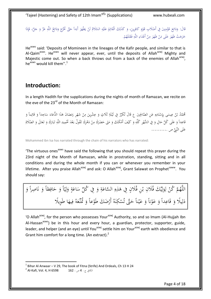قَالَ: وَدَائِعَ مُؤْمِنِينَ فِي أَصْلَابِ قَوْمٍ كَافِرِينَ، وَ كَذَلِكَ الْقَائِمُ عَلَيْهِ السَّلَامُ لَنْ يَظْهَرَ أَبَداً حَتَّى تَخْرُجَ وَدَائِعُ اللَّهِ عَزَّ وَ جَلَّ، فَإِذَا .<br>أ ِ ن ∫<br>∕ ْ  $\zeta$ ِ ا<br>ا َ **ٔ** ِ **ٔ** ر<br>ا ِ ة<br>م ِ َ َ ِ<br>فرا **ٍ** ْ  $\zeta$ َ ا َ َ یا<br>ا ِ َ َ َ َ ∫ ِ <u>ً</u> َ خَرَجَتْ ظَهَرَ عَلَى مَنْ ظَهَرَ مِنْ أَعْدَاءِ اللَّهِ فَقَتَلَهُمْ.<br>\* <sup> $\mathfrak{c}$ </sup> ا<br>أ ت َ ِ ِ ً<br>ا <u>ّ</u> ∫<br>∕ َ  $\overline{\mathbf{a}}$ ْ ام<br>ا ً<br>گ َ  $\overline{\mathbf{a}}$ ُنْ َ

He<sup>asws</sup> said: 'Deposits of Momineen in the lineages of the Kafir people, and similar to that is Al-Qaim<sup>asws</sup>. He<sup>asws</sup> will never appear, ever, until the deposits of Allah<sup>azwj</sup> Mighty and Majestic come out. So when a back throws out from a back of the enemies of Allah<sup>azwj</sup>, he<sup>asws</sup> would kill them".<sup>1</sup>

### <span id="page-3-0"></span>**Introduction:**

In a length Hadith for the supplications during the nights of month of Ramazan, we recite on the eve of the 23<sup>rd</sup> of the Month of Ramazan:

مُحَمَّدُ بْنُ عِيسَى بِإِسْنَادِهِ عَنِ الصَّالِحِينَ ع قَالَ تُكَرِّرُ فِي لَيْلَةِ ثَلَاثٍ وَ عِشْرِينَ مِنْ شَهْرِ رَمَضَانَ هَذَا الدُّعَاءَ سَاجِداً وَ قَائِماً وَ َ ْ ِ َ َ  $\ddot{a}$ ْ َ َ ِ **∶** .<br>. ن **ٔ** Į.  $\ddot{\phantom{0}}$ ب َ ِ َ َ ٔ<br>أ </sub> َ **م** َ قَاعِداً وَ عَلَى كُلِّ حَالٍ وَ فِي الشَّهْرِ كُلِّهِ وَ كَيْفَ أَمْكَنَكَ وَ مَتَى حَضَرَكَ مِنْ دَهْرِكَ تَقُولُ بَعْدَ تَخْمِيدِ اللَّهِ تَبَارَكَ وَ تَعَالَى وَ الصَّلَاةِ َ ابل<br>أ َ ِ ْ َ َ َ َ .<br>أ  $\ddot{c}$ َ َ َ َ  $\ddot{\cdot}$ ب َ ⊿<br>≀ ِ ٔ<br>ا ْ َ ْ ِ َ عَلَى النَّبِيِّ ص ..........

Mohammed ibn Isa has narrated through the chain of his narrators who has narrated:

'The virtuous ones<sup>asws</sup> have said the following that you should repeat this prayer during the 23rd night of the Month of Ramazan, while in prostration, standing, sitting and in all conditions and during the whole month if you can or whenever you remember in your lifetime. After you praise Allah<sup>azwj</sup> and ask: O Allah<sup>azwj</sup>, Grant Salawat on Prophet<sup>saww</sup>. You should say:

 $\frac{1}{2}$ اللَّهُمَّ كُنْ لِوَلِيِّكَ فُلَانِ بْنِ فُلَانٍ فِي هَذِهِ السَّاعَةِ وَ فِي كُلِّ سَاعَةٍ وَلِيّاً وَ حَافِظاً وَ نَاصِراً وَ .<br>. ن َ ِ َ س<br>ج ِ<br>ل ل َ <u>تة</u> ر<br>د  $\overline{a}$ َ <u>ہے</u> ا<br>أ ِ ابل<br>ا ب ي ِ<br>با ا م<br>ر ِ<br>با ل ْ َ َ دَلِياًا وَ قَاعِداً وَ عَوْناً وَ عَيْناً حَتَّى تُسْكِنَهُ أَرْضَكَ طَوْعاً وَ تُمَّعَهُ فِيهَا طَوِيلًا <u>ٔ</u> **ک** َ ة<br>أ َ ِ<br>با ليا ا<br>ا َ ِ<br>ف **و** َ **ٔ**  $\ddot{\phantom{0}}$ ن ْ َ ا<br>ا ه<br>ي ر<br>أ

'O Allah<sup>azwj</sup>, for the person who possesses Your<sup>azwj</sup> Authority, so and so Imam (Al-Hujjah Ibn Al-Hassan<sup>asws</sup>) be in this hour and every hour, a guardian, protector, supporter, guide, leader, and helper (and an eye) until You<sup>azwj</sup> settle him on Your<sup>azwj</sup> earth with obedience and Grant him comfort for a long time. (An extract).<sup>2</sup>

 $^1$  Bihar Al Anwaar – V 29, The book of Fitna (Strife) And Ordeals, Ch 13 H 24

-

<sup>2</sup> الكاِفِج4ِ:ِ ص162ِ:ِ 6598 H 4, .Vol ,Kafi-Al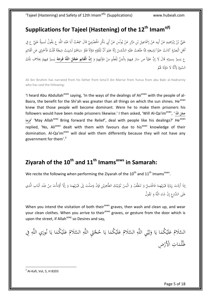# <span id="page-4-0"></span>**Supplications for Tajeel (Hastening) of the 12th Imamajfj**

عَلِيُّ بْنُ إِبْرَاهِيمَ عَنْ أَبِيهِ عَنْ إِسْمَاعِيلَ بْنِ مَرَّارٍ عَنْ يُونُسَ عَنْ أَبِي بَكْرٍ الْحَضْرَمِيِّ قَالَ سَمِعْتُ أَبَا عَبْدِ اللَّهِ ع يَقُولُ لَسِيرَةً عَلِيٍّ ع فِي َ ِ َ .<br>ا .<br>.<br>. َ و<br>يو ْ ا<br>ا **ٔ** ب َ َ ا<br>إ إ ْ ِ ِ<br>پ ْ ا ِ َ .<br>أ ِ إ ب ِ َ ِ َ  $\overline{\phantom{a}}$ با<br>ا ِ ِ ْ ب َ با<br>ا أَهْلِ الْبَصْرَةِ كَانَتْ خَيْراً لِشِيعَتِهِ مِمَّا طَلَعَتْ عَلَيْهِ الشَّمْسُ إِنَّهُ عَلِمَ أَنَّ لِلْقَوْمِ دَوْلَةً فَلَوْ سَبَاهُمْ لَسُبِيَتْ شِيعَتُهُ قُلْتُ فَأَحْبِرْنِي عَنِ الْقَائِمِ ِ ِ ِ. ت َ ِ ل  $\overline{a}$ ا ْ َ ر<br>أ ْ َ ت َ ي ِ ب ْ  $\ddot{\cdot}$ ب  $\ddot{\phantom{0}}$ َ  $\ddot{\phantom{a}}$ <u>ٔ</u> ٔ<br>ا ِ <u>ٔ</u> ؚ<br>ر َ ِ َ ِ إ ِ **ٔ** َ ِ<br>ئ .<br>م َ ْ َ ع يَسِيرُ بِسِيرَتِهِ قَالَ لَا إِنَّ عَلِيّاً ص سَارَ فِيهِمْ بِالْمَنِّ لِلْعِلْمِ مِنْ دَوْلَتِهِمْ وَ <mark>إِنَّ الْقَائِمَ عَجَّلَ اللَّهُ فَرَجَهُ</mark> يَسِيرُ فِيهِمْ بِخِلَافِ تِلْكَ ْ ِ <u>ٔ</u> ٔ.<br>ا .<br>.<br>. ∕. ِ ِ<br>ل َ ِ ب ْ ي ٍ<br>في .<br>.  $\overline{a}$ ي ؚۣ<br>پ َ ِ ن<br>ن ِ ِ ت ؙؚ ب **َ َ ِ**  $\overline{\mathfrak{l}}$ ِ ْ ي ٍ<br>وفي ي <sup>t</sup> السِّيرَةِ لِأَنَّهُ لَا دَوْلَةَ <mark>هُمْ</mark> <u>ٔ</u> ٔ.<br>ا  $\ddot{\epsilon}$  $\ddot{\phantom{0}}$ 

Ali ibn Ibrahim has narrated from his father from lsma'il ibn Marrar from Yunus from abu Bakr al-Hadrarniy who has said the following:

'I heard Abu Abdullah<sup>asws</sup> saying, 'In the ways of the dealings of Ali<sup>asws</sup> with the people of al-Basra, the benefit for the Shi'ah was greater than all things on which the sun shines. He<sup>asws</sup> knew that those people will become dominant. Were he to make them prisoners his followers would have been made prisoners likewise.' I then asked, 'Will Al-Qa'im<sup>asws</sup>, <u>'</u> **َ فَرَجَهُ**' 'May Allah<sup>azwj</sup> Bring forward the Relief', deal with people like his dealings?' He<sup>asws</sup> **َ** replied, 'No, Ali<sup>asws</sup> dealt with them with favours due to his<sup>asws</sup> knowledge of their domination. Al-Qa'im<sup>asws</sup> will deal with them differently because they will not have any government for them'.<sup>3</sup>

## <span id="page-4-1"></span>**Ziyarah of the 10th and 11th Imamsasws in Samarah:**

We recite the following when performing the Ziyarah of the 10<sup>th</sup> and 11<sup>th</sup> Imams<sup>asws</sup>.

َ إِذَا أَرَدْتَ زِيَارَةَ قَبْرَيْهِمَا فَاغْتَسِلْ وَ تَنَظَّفْ وَ الْبَسْ تُوْبَيْكَ الطَّاهِرَيْنِ فَإِنْ وَصَلْتَ إِلَى قَبْرَيْهِمَا وَ إِلَّا أَوْمَأْتَ مِنْ عِنْدِ الْبَابِ الَّذِي اٍ  $\overline{\mathfrak{c}}$  $\overline{\phantom{a}}$ ِ ٍ<br>أ ْ ي َ ِ ي .<br>ا **ـ** َ ن ن<br>ا **ٔ** ن<br>أ َ **ٔ** ي َ .<br>. َ َ َيا َ ِ  $\ddot{\cdot}$ ِ ن .<br>. ِ<br>ِم  $\overline{\phantom{a}}$ <u>ٔ</u> إ َ ٍ<sup>م</sup> **ٔ** ي َ ْ َ عَلَى الشَّارِعِ إِنْ شَاءَ اللَّهُ وَ تَقُولُ ِ َ َ

When you intend the visitation of both their<sup>asws</sup> graves, then wash and clean up, and wear your clean clothes. When you arrive to their<sup>asws</sup> graves, or gesture from the door which is upon the street, if Allah $a^{2}$ s so Desires and say,

السَّلَامُ عَلَيْكُمَا يَا وَلِيَّيِ اللَّهِ السَّلَامُ عَلَيْكُمَا يَا حُجَّتَيِ اللَّهِ السَّلَامُ عَلَيْكُمَا يَا نُورَيِ اللَّهِ فِي ِ<br>ِر يا<br>.  $\sim$ **∶** ى<br>ك **ہ** ة يا<br>.  $\lambda$ **ٔ** ر<br>د **ہ** يته<br>م ِ<br>لبا ا ٍ<br>ر ب<br>:  $\lambda$ **ٔ** ر<br>د **ہ** ظُلُمَاتِ الْأَرْضِ .<br>ا  $\overline{\phantom{a}}$ 

1  $^3$  Al-Kafi, Vol, 5, H 8203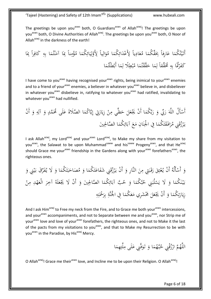The greetings be upon you<sup>asws</sup> both, O Guardians<sup>asws</sup> of Allah<sup>azwj</sup>! The greetings be upon you<sup>asws</sup> both, O Divine Authorities of Allah<sup>azwj</sup>. The greetings be upon you<sup>asws</sup> both, O Noor of Allah<sup>azwj</sup> in the darkness of the earth!

ِ ه ِ ا ب َ ُم ت ْ ن َ ا آم َ ِ ً ِب نا ِ م ْ ؤ ُ ا م َ ُكم ِ ائ َ ي ِ ل ْ َو ً ِلِ يا ِ ال َ و ُ ا م َ ُكم ِ ائ َ ْد َع ً ِلِ يا ِ اد َ ع ُ ا م َ ِّق ُكم َ ً ِبِ اِرفا َ ا ع َ ُكم ُ ت ْ ي َ أَت ِِ َ ِ ً ِب را ِ َكاف اِِ ا َ ُم ْطَْلت ا أَب َ م ِ ًَل ل ْطِ ب ُ ا م َ ُم ت ْ قق َّ َ ا ح َ م ِ ً ل ِّققا َ ُُم ِ ه ِ ُُتَا ب ْ َر َكف

I have come to you<sup>asws</sup> having recognised your<sup>asws</sup> rights, being inimical to your<sup>asws</sup> enemies and to a friend of your<sup>asws</sup> enemies, a believer in whatever you<sup>asws</sup> believe in, and disbeliever in whatever you<sup>asws</sup> disbelieve in, ratifying to whatever you<sup>asws</sup> had ratified, invalidating to whatever you<sup>asws</sup> had nullified.

َ َ ع صََلة ا ال َّ َ ُكم َّا ي ِ ِِت إ َ ار َ ِزي ْ ن ِ ي م ظِّ َ ح َ َل ع ْ ْن ََي ا أَ َ َّ ُكم ب َ ر َ ِب و ِّ َ ر َ ه َّ َُْل الل ْ ْن أَس أَ َ و ِ ه ِ آل َ و َ َّمدٍ لَى ُُم َني صاْلِِ ا ال َّ َ ُكم ِ ائ َ آب َ ع َ م انِ َ ن ا ِِف ا ْْلِ َ ُكم َ ت َ َق اف َ ر ُ ِِن م َ ق ُ ز ْ ر َ ي

I ask Allah<sup>azwj</sup>, my Lord<sup>azwj</sup> and your<sup>asws</sup> Lord<sup>azwj</sup>, to Make my share from my visitation to you<sup>asws</sup>, the Salawat to be upon Muhammad<sup>saww</sup> and his<sup>saww</sup> Progeny<sup>asws</sup>, and that He<sup>azwj</sup> should Grace me your<sup>asws</sup> friendship in the Gardens along with your<sup>asws</sup> forefathers<sup>asws</sup>, the righteous ones.

ِّ َر ف ُ ََل ي َ ا و َ ُكم َ ت َ ب َ اح َ ُص م َ ا و َ ُكم َ ت َ اع َ ِِن َشف َ ق ُ ز ْ ر َ ْن ي أَ َ َّاِر و الن َ ن ِ َِت م َ ب َ ق َ ر َ ق ِ ت ْ ع ُ ْن ي أَ ُ َْلُه ْ أَس َ و َ ِِن و ْ ي َ َق ب ْ ن ِ م دِ ْ ه َ الْع َ ر آخِ ُ لَه َ ع ْ ْن ََل ََي أَ َ َني و صاْلِِ ا ال َّ َ ُكم ِ ائ َ ب آب َّ ُ َ ح ا و َ َّ ُكم ب ُ ِِن ح َ لُب ْ َس ََل ي َ ا و َ ُكم َ ن ْ ي َ ب ِ ه ِ ت ْْحَ َ ر ِ ب ِ ة َّ نَ ا ِِف ا ْْل َ ُكم َ ع َ َُمْ َشِري م َ َل ع ْ ْن ََي أَ َ ا و َ ُكم ِ ت َ ار َ ِزي

And I ask Him<sup>azwj</sup> to Free my neck from the Fire, and to Grace me both your<sup>asws</sup> intercessions, and your<sup>asws</sup> accompaniments, and not to Separate between me and you<sup>asws</sup>, nor Strip me of your<sup>asws</sup> love and love of your<sup>asws</sup> forefathers, the righteous ones, and not to Make it the last of the pacts from my visitations to you<sup>asws</sup>, and that to Make my Resurrection to be with vou<sup>asws</sup> in the Paradise, by His<sup>azwj</sup> Mercy.

اللَّهُمَّ ارْزُقْنِي حُبَّهُمَا وَ تَوَفَّنِي عَلَى مِلَّتِهِمَا ِ<br>بُ بذ  $\overline{\phantom{a}}$ ا<br>أ و<br>د َ  $\overline{\phantom{a}}$ ة<br>أ .<br>.<br>.  $\sim$ 

O Allah<sup>azwj</sup>! Grace me their<sup>asws</sup> love, and Incline me to be upon their Religion. O Allah<sup>azwj</sup>!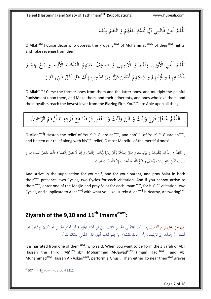ْ اللَّهُمَّ الْعَنْ ظَالِمِي آلِ مُحَمَّدٍ حَقَّهُمْ وَ انْتَقِمْ مِنْهُمْ  $\mathcal{L}$ ْ ِ.<br>م نا<br>آ ت .<br>.<br>. َ ْ َ ِ ْ

O Allah<sup>azwj</sup>! Curse those who oppress the Progeny<sup>asws</sup> of Muhammad<sup>saww</sup> of their<sup>asws</sup> rights, and Take revenge from them.

َ اللَّهُمَّ الْعَنِ الْأَوَّلِينَ مِنْهُمْ وَ الْآخِرِينَ وَ ضَاعِفْ عَلَيْهِمُ الْعَذَابَ الْأَلِيمَ وَ بَلِّغْ بِهِمْ وَ ْ ب<br>: َ َ ِ<br>ل َ **ٔ** ا<br>گ  $\ddot{\phantom{0}}$ َ  $\mathfrak{c}$  $\overline{\phantom{a}}$ ِ َ أَشْيَاعِهِمْ وَ مُحِبِّيهِمْ وَ شِيعَتِهِمْ أَسْفَلَ دَرْكٍ مِنَ الْجَحِيمِ إِنَّكَ عَلَى كُلِّ شَيْءٍ قَدِيرٌ ر<br>د ب<br>ذ  $\int$ **:**  $\ddot{\phantom{0}}$  $\mathbf{z}$  $\ddot{\phantom{0}}$  $\overline{\phantom{0}}$ **ـ** ْ <u>ب</u> ت ِ<br>پ َ ْ ي بر ِ<br>ر ْ  $\ddot{\phantom{0}}$ ِ<br>با ب<br>ز ْ ِ<br>ء

O Allah<sup>azwj</sup>! Curse the former ones from them and the latter ones, and multiply the painful Punishment upon them, and Make them, and their adherents, and ones who love them, and their loyalists reach the lowest lever from the Blazing Fire, You<sup>azwj</sup> are Able upon all things.

اللَّهُمَّ عَجِّلْ فَرَجَ وَلِيِّكَ وَ ابْنِ وَلِيِّكَ وَ اجْعَلْ فَرَجَنَا مَعَ فَرَجِهِ يَا أَرْحَمَ الرَّاجِمِينَ  $\mathfrak{g}$ َ يا<br>. ي  $\overline{a}$ ر<br>.  $\zeta$  $\mathbf{z}$  $\ddot{\phantom{0}}$ ن َ ر<br>ا ْ ْ َ ي<br>يا ِ<br>ل ل َ بہ<br>: َ ي لو. ِ<br>ا ا َ  $\zeta$ ْ

O Allah<sup>azwj</sup>! Hasten the relief of Your<sup>azwj</sup> Guardian<sup>asws</sup>, and son<sup>asws</sup> of Your<sup>azwj</sup> Guardian<sup>asws</sup>, and Hasten our relief along with his<sup>asws</sup> relief, O most Merciful of the merciful ones!'

َ وَ تَحْتَهِدُ فِي الدُّعَاءِ لِنَفْسِكَ وَ لِوَالِدَيْكَ وَ صَلِّ عِنْدَهُمَا لِكُلِّ زِيَارَةٍ رَكْعَتَيْنِ وَ إِنْ لَمْ تَصِلْ إِلَيْهِمَا دَخَلْتَ بَعْضَ الْمَسَاجِدِ وَ َ َ .<br>. َ َ ُيا<br>ا ؚ<br>ز .<br>ا ن ي **ـ** l, و<br>ر ِ<br>لو ل َ .<br>. ل ِ َ <u>:</u> ت َ  $\ddot{\phantom{0}}$ َ  $\overline{\mathfrak{l}}$ َ  $\overline{a}$ **ٔ** ِ إ **ٔ** َ ت **أ** ٍٍٍٍٍٍٍٍٍٍٍٍٍٍٍٍٍٍٍٍٍٍٍٍٍٍٍٍ إ َ ِ صَلَّيْتَ لِكُلِّ إِمَامٍ لِزِيَارَتِهِ رَكْعَتَيْنِ وَ ادْعُ اللَّهَ بِمَا أَحْبَبْتَ إِنَّ اللَّهَ قَرِيبٌ مُجِيبٌ ي قم<br>أ َ ِ ب ا<br>ا ب ْ  $\overline{\phantom{0}}$ ِ َ َ َ َ ِ ِ ت َ یا<br>. ا.<br>ب ل ا<br>ا ِ إ <u>ِ</u> ي  $\overline{\phantom{a}}$ 

And strive in the supplication for yourself, and for your parent, and pray Salat in both their<sup>asws</sup> presence, two Cycles, two Cycles for each visitation. And if you cannot arrive to them<sup>asws</sup>, enter one of the Masjid and pray Salat for each Imam<sup>asws</sup>, for his<sup>asws</sup> visitation, two Cycles, and supplicate to Allah<sup>azwj</sup> with what you like, surely Allah<sup>azwj</sup> is Nearby, Answering'.<sup>4</sup>

# <span id="page-6-0"></span>**Ziyarah of the 9,10 and 11th Imamsasws :**

رُوِيَ عَنْ بَعْضِهِمْ عِ أَنَّهُ قَالَ: إِذَا أَرَدْتَ زِيَارَةَ أَبِي الْحَسَنِ الثَّالِثِ عَلِيِّ بْنِ مُحَمَّدٍ الْجَوَادِ وَ أَبِي مُحَمَّدٍ الْحَسَنِ الْعَسْكَرِيِّ عِ تَقُولُ بَعْدَ<br>. َ **ٔ** َ َ ا<br>ا ٔ<br>ا .<br>∍ َ ∫<br>∹ َ َ .<br>∍ **ٔ** ب ؚۣ<br>ڸ گ ا<br>ا <u>ة</u> َ پا<br>ا َ ِ إ ٔ<br>ا ْ َ  $\ddot{\phantom{0}}$ ْ الْغُسْلِ إِنْ وَصَلْتَ إِلَى قَبْرَيْهِمَا وَ إِلَّا أَوْمَأْتَ بِالسَّلَامِ مِنْ عِنْدِ الْبَابِ الَّذِي عَلَى الشَّارِعِ الشُّبَّاكِ تَقُولُ– ِ  $\overline{\mathsf{l}}$ ا<br>ا ِ ا<br>ا ً<br>گ ِ ا<br>ا ِ ن ْ ∫<br>∧ ِ ام<br>ا <u>ٔ</u> إ َ َ **ٔ** 

It is narrated from one of them<sup>asws</sup>, who said: When you want to perform the Ziyarah of Abil Hassan the Third, 'Ali<sup>asws</sup> ibn Mohammed Al-Jawad<sup>asws</sup> (Imam Hadi<sup>asws</sup>), and Abi Muhammad<sup>asws</sup> Hassan Al-'Askari<sup>asws</sup>, perform a Ghusl. Then either go near their<sup>asws</sup> graves

ـ<br>4 H 3211, من لا يحضرهِ الفقيهِ، ج2، ص: 607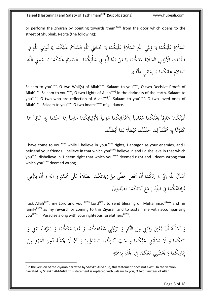or perform the Ziyarah by pointing towards them<sup>asws</sup> from the door which opens to the street of Shubbak. Recite (the following):

ُ َّسََلم ال ا َ ُكم ْ لَي َ ع ا َ ي ِي َّ ي ِ ل َ و ِ ه َّ الل ُ َّسََلم ال ا َ ُكم ْ لَي َ ع ا َ ي ِ َ جَت َّ ُ ح ِ ه َّ الل ُ َّسََلم ال ا َ ُكم ْ لَي َ ع ا َ ي ِي َ ُور ن ِ ه َّ ِِف الل ِت ا ظُلُم ِض َ ْ اِْلَر ُ َّسََلم ال ا َ ُكم ْ لَي َ ع ا َ ي ْ ن َ َ م ا د َ ب ِ ه َّ ل ِ ا ِِف ل َ ُكم ِ ُ َش - ْْن َّسََلم ال ا َ ُكم ْ لَي َ ع ا َ ي ِ َ يِب ِ ب َ ح ِ ه َّ الل ال ُ َّسََلم ا َ ُكم ْ لَي َ ع ا َ ي ِي َ ام َ م إ ى ِ َ ُد ا َْل

Salaam to you<sup>asws</sup>, O two Wali(s) of Allah<sup>azwj</sup>. Salaam to you<sup>asws</sup>, O two Decisive Proofs of Allah<sup>azwj</sup>. Salaam to you<sup>asws</sup>, O two Lights of Allah<sup>azwj</sup> in the darkness of the earth. Salaam to you<sup>asws</sup>, O two who are reflection of Allah<sup>azwj</sup>.<sup>5</sup> Salaam to you<sup>asws</sup>, O two loved ones of Allah $a^{2x}$ , Salaam to you $a^{3x}$  O two Imams $a^{3x}$  of guidance.

ا َ ُكم ُ ت ْ ي َ ً أَت اِرفا َ ع ا َ ِّق ُكم َ ِ ً ِب يا ِ اد َ ع ُ م ا َ ُكم ِ ائ َ ْد َع ِ ً ِل يا ِ ال َ و ُ م ا َ ُكم ِ ائ َ ي ِ ل ْ َو ِ ً ِل نا ِ م ْ ؤ ُ َ م ا ِ ِب ا َ ُم ت ْ ن َ آم ِ ه ِ ب ً را ِ َكاف ا َ ِ ِب ُُتَا ْ َر َكف ِ ه ِ ً ب ِّققا َ ُُم ا َ م ِ ل ا َ ُم ت ْ قق َّ َ ح ًَل ْطِ ب ُ م ا َ م ِ ل ا َ ُم ْطَْلت أَب

I have come to you<sup>asws</sup> while I believe in your<sup>asws</sup> rights, I antagonise your enemies, and I befriend your friends. I believe in that which you<sup>asws</sup> believe in and I disbelieve in that which you<sup>asws</sup> disbelieve in. I deem right that which you<sup>asws</sup> deemed right and I deem wrong that which you<sup>asws</sup> deemed wrong.

َُْل ْ أَس َ ه َّ ِب الل ِّ َ ر َ و ا َ َّ ُكم ب َ ْن ر أَ َ َل ع ْ ََي ي ظِّ َ ْ ح ن ِ م ا َ ُكم ِ ت َ ار َ ِزي صََلة لَى َ ال َّ َ ع َ َّمدٍ ُُم َ و ِ ه ِ آل َ ِِن َ ْن ق ُ و أَ ز ْ ر َ ي ا َ ُكم َ ت َ َق اف َ ر ُ م ِِف انِ َ ن ا ْْلِ َ ع َ م ا َ ُكم ِ ائ َ َني آب صاْلِِ ال َّ

I ask Allah<sup>azwj</sup>, my Lord and your<sup>asws</sup> Lord<sup>azwj</sup>, to send blessing on Muhammad<sup>saww</sup> and his family<sup>asws</sup> as my reward for coming to this Ziyarah and to sustain me with accompanying you<sup>asws</sup> in Paradise along with your righteous forefathers<sup>asws</sup>.

َ وَ أَسْأَلُهُ أَنْ يُعْتِقَ رَقَبَتِي مِنَ النَّارِ وَ يَرْزُقَنِي شَفَاعَتَكُمَا وَ مُصَاحَبَتَكُمَا وَ يُعَرِّفَ بَيْنِي وَ **ٔ**  $\overline{\phantom{0}}$ ِ<br>سا ت **ٔ** ا<br>أ ب ن<br>أ ارا<br>ا  $\ddot{\phantom{0}}$ ِ ٍ<br>ر ق<br>أ ر<br>. یہ<br>:  $\sim$ ند<br>ا ت َگ .<br>م َ  $\sim$ .<br>تا ت با<br>م ب َ  $\ddot{\phantom{0}}$ َ **و ٔ** ي ب<br>: َ بَيْنَكُمَا وَ لَا يَسْلُبَنِي حُبَّكُمَا وَ حُبَّ آبَائِكُمَا الصَّالِحِينَ وَ أَنْ لَا يَجْعَلَهُ آخِرَ الْعَهْدِ مِنْ  $\overline{a}$ .<br>. ن **ٔ**  $\ddot{\phantom{0}}$ َ  $\ddot{\cdot}$ ا<br>ا  $\lambda$ بم<br>به ِ<br>ئ ب<br>. َ **و ٔ** ر<br>ا **€** َ .<br>-<br>- $\overline{a}$ زِيَارَتِكُمَا وَ يَحْشُرَنِي مَعَكُمَا فِي الْجُنَّةِ بِرَحْمَتِهِ  $\overline{\phantom{a}}$  $\ddot{\cdot}$ نا َ يا<br>. َ ليا<br>ا  $\overline{\phantom{a}}$ َ ام<br>ا  $\ddot{a}$ ِ ِ<br>ب ت .<br>ر ِ<br>بہ ب

<u>.</u>

<sup>&</sup>lt;sup>5</sup> In the version of the Ziyarah narrated by Shaykh Al-Saduq, this statement does not exist. In the version narrated by Shaykh Al-Mufid, this statement is replaced with Salaam to you, O two Trustees of Allah.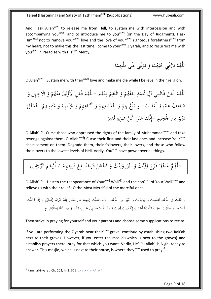And I ask Allah<sup>azwj</sup> to release me from Hell, to sustain me with intercession and with accompanying you<sup>asws</sup>, and to introduce me to you<sup>asws</sup> (on the Day of Judgment). I ask Him<sup>azwj</sup> not to remove your<sup>asws</sup> love and the love of your<sup>asws</sup> righteous forefathers<sup>asws</sup> from my heart, not to make this the last time I come to your<sup>asws</sup> Ziyarah, and to resurrect me with you<sup>asws</sup> in Paradise with His<sup>azwj</sup> Mercy.

> اللَّهُمَّ ارْزُقْنِي حُبَّهُمَا وَ تَوَفَّنِي عَلَى مِلَّتِهِمَا <u>َ،</u> .<br>.<br>.  $\sim$ م<br>ر ر<br>د  $\lambda$ <u>بر</u> ت ِ

O Allah<sup>azwj</sup>! Sustain me with their<sup>asws</sup> love and make me die while I believe in their religion.

اللَّهُمَّ الْعَنْ ظَالِمِي آلِ مُحَمَّدٍ حَقَّهُمْ وَ انْتَقِمْ مِنْهُمْ –اللَّهُمَّ الْعَنِ الْأَوَّلِينَ مِنْهُمْ وَ الْآخِرِينَ وَ ْ ِ ْ َ  $\ddot{\phantom{a}}$ :<br>. ْ ِ<br>م ن<br>أما ت ْ َ ِ ْ  $\overline{a}$ َ  $\ddot{\phantom{0}}$ َ ضَاعِفْ عَلَيْهِمُ الْعَذَابَ –وَ بَلِّغْ بِهِمْ وَ بِأَشْيَاعِهِمْ وَ أَتْبَاعِهِمْ وَ مُحِّيِّهِمْ وَ مُتَّبِعِيهِمْ –أَسْفَلَ **ٔ** ر<br>د َ َ ب<br>: ْ َ ْ  $\ddot{\phantom{0}}$ ِ ب َ ْ  $\ddot{\cdot}$ ب ز<br>ا َ ْ ي بر َ ْ ي ِ<br>و ِ ب  $\overline{\phantom{0}}$ **ـ** دَرْكٍ مِنَ الجُحِيمِ –إِنَّكَ عَلى كُلِّ شَيْءٍ قَدِيزٌ  $\ddot{ }$  $\ddot{\phantom{0}}$ َ ر<br>د ْ ِ<br>ء

O Allah<sup>azwj</sup>! Curse those who oppressed the rights of the family of Muhammad<sup>saww</sup> and take revenge against them. O Allah<sup>azwj</sup>! Curse their first and their last ones and increase Your<sup>azwj</sup> chastisement on them. Degrade them, their followers, their lovers, and those who follow their lovers to the lowest levels of Hell. Verily, You<sup>azwj</sup> have power over all things.

اللَّهُمَّ عَجِّلْ فَرَجَ وَلِيِّكَ وَ ابْنَ وَلِيِّكَ وَ اجْعَلْ فَرَجَنَا مَعَ فَرَجِهِمْ يَا أَرْحَمَ الرَّاحِمِينَ <u>لى</u>  $\zeta$ ير او: ِ<br>ا ا َ َ  $\ddot{\phantom{0}}$ ي ؚ<br>ڶ ل َ َ <u>ا</u> ْ .<br>. ن َ ر<br>ا  $\zeta$  $\mathcal{L}$ ْ ر<br>( يا<br>. ي  $\mathfrak{g}$ َ

O Allah<sup>azwj</sup>! Hasten the reappearance of Your<sup>azwj</sup> Wali<sup>ajfj</sup> and the son<sup>asws</sup> of Your Wali<sup>asws</sup> and relieve us with their relief. O the Most Merciful of the merciful ones.

َ وَ تَحْتَهِدُ فِي الدُّعَاءِ لِنَفْسِكَ وَ لِوَالِدَيْكَ وَ تَخَيَّرْ مِنَ الدُّعَاءِ –فَإِنْ وَصَلْتَ إِلَيْهِمَا ص فَصَلِّ عِنْدَ قَبْرِهِمَا رَكْعَتَيْنِ وَ إِذَا دَخَلْتَ : ت ِ د<br>ا .<br>.  $\ddot{\phantom{a}}$ ل َ ي  $\overline{\phantom{a}}$ J َ ِ ل َ ر<br>أ ِ<br>: َ ِ ِ َ ِ ة<br>أ  $\overline{\mathsf{l}}$  $\overline{\phantom{a}}$ **ै** ْ .<br>ا ن ِ ِ<br>ِ ْ َ َ َ ا  $\overline{\mathfrak{l}}$ َ  $\overline{\phantom{a}}$ الْمَسْجِدَ وَ صَلَّيْتَ دَعَوْتَ اللَّهَ بِمَا أَحْبَبْتَ إِنَّهُ قَرِيبٌ مُجِيبٌ وَ هَذَا الْمَسْجِدُ إِلَى جَانِبِ الدَّارِ وَ فِيهِ كَانَا يُصَلِّيَانِ ع َ ي َ َ  $\overline{a}$  $\frac{1}{2}$ ب ا<br>ا ب ْ ِ أ ي َ ۵<br>ا اٍ ِ َ َ ِ ِ .<br>نا  $\ddot{\phantom{0}}$ ي  $\ddot{\phantom{0}}$ 

Then strive in praying for yourself and your parents and choose some supplications to recite.

If you are performing the Ziyarah near their<sup>asws</sup> grave, continue by establishing two Rak'ah next to their graves. However, if you enter the masjid (which is next to the graves) and establish prayers there, pray for that which you want. Verily, He<sup>azwj</sup> (Allah) is Nigh, ready to answer. This masjid, which is next to their house, is where they<sup>asws</sup> used to pray.<sup>6</sup>

-

 $^6$  Kamil al-Ziyarat, Ch. 103, h, 1, 313  $\,$ و، النص $\,$ ، ص $\,$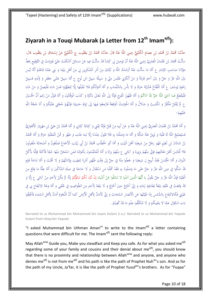# <span id="page-9-0"></span>**Ziyarah in a Touqi Mubarak (a Letter from 12th Imamajfj):**

حَدَّثَنَا مُحَمَّدُ بْنُ مُحَمَّدِ بْنِ عِصَامٍ الْكُلَيْنِيُّ رَضِيَ اللَّهُ عَنْهُ قَالَ حَدَّثَنَا مُحَمَّدُ بْنُ يَعْقُوبَ وَالَذَا عَنْهُ عَنْ إِسْحَاقَ بْنِ يَعْقُوبَ قَالَ: ٔ<br>ا َ **ٔ** اپ<br>ا ب :<br>ا َ ق<br>أ ن َ َ َ ْ ا<br>ا ْ ب ِ ب َ ْ ب<br>ا ا<br>ا َ إ .<br>ا ْ سَأَلْتُ مُحَمَّدَ بْنَ عُثْمَانَ الْعَمْرِيَّ رَضِيَ اللَّهُ عَنْهُ أَنْ يُوصِلَ لِي كِتَاباً قَدْ سَأَلْتُ فِيهِ عَنْ مَسَائِلَ أَشْكَلَتْ عَلَيَّ فَوَرَدَتْ فِي التَّوْقِيعِ بِخَطِّ ٍ ) ن َ َ َ ا<br>ا َ ا<br>ا ث َ ب ٔ<br>ا ا<br>ا ِ **ٔ** َ َ َ  $\overline{a}$ ٍ ) ِ<br>پا ا<br>ا .<br>ا ٍ<br>ٍٍ ِ ا<br>ا ٌ ت مَوْلَانَا صَاحِبِ الزَّمَانِ ع أَمَّا مَا سَأَلْتَ عَنْهُ أَرْشَدَكَ اللَّهُ وَ نُبَّتَكَ مِنْ أَهْرِ الْمُنْكِرِينَ لِي مِنْ أَهْلِ بَيْتِنَا وَ بَنِي عَمِّنَا فَاعْلَمْ أَنَّهُ لَيْسَ َ ا<br>ا َ <u>ٔ</u> ام<br>ا بر<br>أ ب َ ا<br>أ ن ِ ت ؚٚ ي ابر<br>ا å<br>. <u>ّ</u> ِ<br>ृ َ ن ا<br>ا <u>ّ</u> ِ<br>ृ َ ن </sub> ا<br>ا ام<br>ا ً<br>ا ْ **ٔ** َ ا<br>أ بَيْنَ اللَّهِ عَزَّ وَ جَلَّ وَ بَيْنَ أَحَدٍ قَرَابَةٌ وَ مَنْ أَنْكَرَنِي فَلَيْسَ مِنِّي وَ سَبِيلُهُ سَبِيلُ ابْنِ نُوحٍ ع أَمَّا سَبِيلُ عَمِّي جَعْفَرٍ وَ وُلْدِهِ فَسَبِيلُ ا<br>ا ∫ ب ا<br>ا ِ ب ا<br>ا َ ∫<br>∧ .<br>ا َ ْ ام<br>ا </sub> با َ َ َ َ َ ُ<br>ک ِ ِ ب ا<br>ا ِ ِ َ .<br>م ْ َ ِ ب ا<br>ا إِخْوَةِ يُوسُفَ عِ أَمَّا الْفُقَّاعُ فَشْرْبُهُ حَرَامٌ وَ لَا بَأْسَ بِالشَّلْمَابِ وَ أَمَّا أَمْوَالُكُمْ فَلَا نَقْبَلُهَا إِلَّا لِتَطَهَّرُوا فَمَنْ شَاءَ فَلْيَصِلْ وَ مَنْ شَاءَ و<br>يا ِ َ **ٔ** َ ِ ب ً<br>ا َ َ َ َ ب .<br>ا </sub> َ َ **ٔ** ้ َ ٍ<sup>م</sup> ت  $\overline{\mathbf{d}}$ َ ا<br>ا ب .<br>م <sup>أ</sup> َ ام<br>ا َ ْ فَلْيَقْطَعْ فَما آتانِيَ اللَّهُ خَيْزٌ مِمَّا آتاكُمْ وَ أَمَّا ظُهُورُ الْفَرَجِ فَإِنَّهُ إِلَى اللَّهِ تَعَالَى ذِكْرُهُ وَ كَذَبَ الْوَقَّاتُونَ وَ أَمَّا قَوْلُ مَنْ زَعَمَ أَنَّ الْحُسَيْنَ َ ْ ِ ا<br>ا ِ ِ إ ِ َ َ َ َ .<br>أ َ **ٔ** َ َ َ ِ َ ِ ع لَمْ يُفْتَلْ فَكُفْرٌ وَ تَكْذِيبٌ وَ ضَلَالٌ وَ أَمَّا الْحَوَادِثُ الْوَاقِعَةُ فَارْجِعُوا فِيهَا إِلَى رُوَاةِ حَدِيثِنَا فَإِنَّهُمْ حُجَّتِي عَلَيْكُمْ وَ أَنَا حُجَّةُ اللَّهِ ِ َ ِ َ ِ َ ِ َ َ ِ َ ِ َ َ َ ي ِ ن<br>ا ت َ **ٔ** ت .<br>أ ا<br>ا ْ **ٔ** َ ِ ِ<br>أ ا<br>أ ن ِ<br>به ِّ ن <sup>أ</sup> عَلَيْهِمْ-**ٔ** َ

وَ أَمَّا مُحَمَّدُ بْنُ عُثْمَانَ الْعَمْرِيُّ رَضِيَ اللَّهُ عَنْهُ وَ عَنْ أَبِيهِ مِنْ قَبْلُ فَإِنَّهُ ثِقَتِي وَ كِتَابُهُ كِتَابِي وَ أَمَّا مُحَمَّدُ بْنُ عَلِيِّ بْنِ مَهْزِيَارَ الْأَهْوَازِيُّ <u>ً</u> ت َ َ ِ ة قا ِ ا<br>أ ب َ ∕' ً ِ .<br>ا َ ن ً<br>گ َ َ ا<br>ا َ َ ث ب َ َ َ اپ<br>ا **€** ام<br>ا ا<br>ا ب ا َ ب َ ٌ ت فَسَيُصْلِحُ اللَّهُ لَهُ قَلْبَهُ وَ يُزِيلُ عَنْهُ شَكَّهُ وَ أَمَّا مَا وَصَلْتَنَا بِهِ فَلَا قَبُولَ عِنْدَنَا إِلَّا لِمَا طَابَ وَ طَهُرَ وَ تَمَنُ الْمُغَنِّيَةِ حَرَامٌ وَ أَمَّا مُحَمَّدُ ِ ي ا<br>ا َ َ َ َ ِ :<br>ا ن ا<br>ا ن ب َ ِ ِ : ن ا<br>أ ام<br>ا ام<br>ا َ ن </sub> ي َ َ َ َ ا<br>ا َ ¦ ا<br>ا َ َ بْنُ شَاذَانَ بْنِ نُعَيْمٍ فَهُوَ رَجُلٌ مِنْ شِيعَتِنَا أَهْلَ الْبَيْتِ وَ أَمَّا أَبُو الْخَطَّابِ مُحَمَّدُ بْنُ أَبِي زَيْنَبَ الْأَجْدَعُ فَمَلْعُونٌ وَ أَصْحَابُهُ مَلْعُونُونَ **ٔ** ي ا<br>ا ٍ ) ا<br>ا ن ِ ت َ ∫<br>∧ ر<br>ا **ٔ** ي َ ْ ام<br>ا َ َ **ै** ْ ؘ<br>֞ ن ا<br>ا ب فَلَا تُحَالِسْ أَهْلَ مَقَالَتِهِمْ فَإِنِّي مِنْهُمْ بَرِيءٌ وَ آبَائِي ع مِنْهُمْ بِرَاءٌ وَ أَمَّا الْمُتَلَبِّسُونَ بِأَمْوَالِنَا فَمَنِ اسْتَحَلَّ مِنْهَا شَيْئاً فَأَكَلَهُ فَإِمّْا يَأْكُلُ ام<br>أ ب <sup>أ</sup> ن ∫<br>∧ ِ ا<br>أ <sup>(</sup> ِ َ َ ٍ ) .<br>أ ا<br>ا ا<br>أ ت **ٔ ै** ا<br>أ ن <u>ِ</u> َ ام<br>ا ِ ا<br>أ ت َ َ ِ ب <sup>أ</sup> ن ∫<br>∧ ِ<br>پا با<br>ا َ لي.<br>ا َ َ ْ َ ن ِ َ <u>ً</u> ت  $\overline{\mathbf{a}}$ النِّيزانَ وَ أَمَّا الْحُمْسُ فَقَدْ أُبِيحَ لِ شِيعَتِنَا وَ جُعِلُوا مِنْهُ فِي حِلِّ إِلَى وَقْتِ ظُهُورٍ أَمْرِنَا لِتَطِيبَ وِلَادَتُهُمْ وَ لَا تَخْبُثَ وَ أَمَّا نَدَامَةُ قَوْم<br>ِ ن<br>أ ام<br>ا <u>ٔ</u> َ ِ إ ن ِ<br>∧ ِ َ ا<br>ا ن ِ ت َ َ ∫ َ ا  $\overline{a}$ **ٍ ٔ** ام<br>ا ا<br>ا َ ب َ ْ ا<br>ا قَدْ شَكُّوا فِي دِينِ اللَّهِ عَزَّ وَ حَلَّ عَلَى مَا وَصَلُونَا بِهِ فَقَدْ أَقَلْنَا مَنِ اسْتَقَالَ وَ لَا حَاجَةَ فِي صِلَةِ الشَّاكِّينَ وَ أَمَّا عِلَّةُ مَا وَقَعَ مِنَ ٍ<br>ا ة<br>أ َ َ َ نم<br>عم <u>ً</u> ت **ٔ** م<br>ا ا<br>أ ∫<br>} ِ<br>با ُنا<br>ا ا<br>ا ام<br>ا َ َ َ ِ ∫<br>≃ َ ِ<br>ृ َ َ ام<br>ا َ الْغَيْبَةِ فَإِنَّ اللَّهَ عَزَّ وَ حَلَّ يَقُولُ يا أَيُّهَا الَّذِينَ آمَنُوا لا تَسْئَلُوا عَنْ أَشْياءَ إِنْ تُبْدَ لَكُمْ تَسْؤُكُمْ إِنَّهُ لَمَّ يَكُنْ لِأَحَدٍ مِنْ آبَائِي عِ إِلَّا وَ َ َ َ َ ِ ا<br>أ ; َ ب **ٔ** ي َ گ<br>ا ن<br>ئىقلا ا<br>ا ن ا<br>ا َ ِ َ َ .<br>ا ِ **ٔ** ب <sup>(</sup> ْ ت َ ِ<br>پُل ا<br>ا .<br>أ ِ **ٍ** َ ِ<br>ا ي **أَ** ِ إ قَدْ وَقَعَتْ فِي عُنُقِهِ بَيْعَةٌ لِطَاغِيَةِ زَمَانِهِ وَ إِنّي أَخْرُجُ حِينَ أَخْرُجُ وَ لَا بَيْعَةَ لِأَحَدٍ مِنَ الطَّوَاغِيتِ فِي عُنُقِي وَ أَمَّا وَجْهُ الِانْتِفَاعِ بِي فِي<br>. َ ِ<br>∧ **ٍ** َ َ **ٔ** ي ب<br>ا َ **ٔ ٔ** ِ إ َ ِ ِ ا<br>ا َ  $\ddot{z}$ یا<br>ا ي ِ َ **ٔ** ي َ ِ ن َ َ ِ ن ي َ ِ ت <u>َ</u> ن ْ َ فَيْبَتِي فَكَالانْتِفَاعِ بِالشَّمْسِ إِذَا غَيَّبَتْهَا عَنِ الْأَبْصَارِ السَّحَابُ وَ إِنِّي لَأَمَانٌ لِأَهْلِ الْأَرْضِ كَمَا أَنَّ النُّجُومَ أَمَانٌ لِأَهْلِ السَّمَاءِ فَأَغْلِقُوا .<br>ا å<br>. ام<br>ا ׀<sub>֡</sub> إ َ َ ام<br>ا ر<br>ا َ ت َ ِ ا<br>ا ِ ُ<br>أ ِ ت ْ ั้ ب **ٔ** ِ َ ِ **ै** å<br>. ام<br>ا َ **ै** ؘ<br>֞ ابَ السُّؤَالِ عَمَّا لَا يَعْنِيكُمْ وَ لَا تَتَكَلَّفُوا عِلْمَ مَا قَدْ كُفِيتُمْ . َ با ب <sup> $\mathfrak{c}$ </sup> ِ ام<br>ا َ ا<br>أ ت َ <sup>(</sup> ِ ن **ٔ** 

Narrated to us Muhammad bin Muhammad bin Isaam Kulaini (r.a.): Narrated to us Muhammad bin Yaqoob Kulaini from Ishaq bin Yaqoob:

"I asked Muhammad bin Uthman Amari<sup>ra</sup> to write to the Imam<sup>ajfj</sup> a letter containing questions that were difficult for me. The Imam<sup>ajfj</sup> sent the following reply:

May Allah<sup>azwj</sup> Guide you, Make you steadfast and Keep you safe. As for what you asked me<sup>ajfj</sup> regarding some of your family and cousins and their denial about me<sup>ajfj</sup>, you should know that there is no proximity and relationship between Allah<sup>azwj</sup> and anyone, and anyone who denies me<sup>ajfj</sup> is not from me<sup>ajfj</sup> and his path is like the path of Prophet Nuh<sup>as</sup>'s son. And as for the path of my Uncle, Ja'far, it is like the path of Prophet Yusuf<sup>as</sup>'s brothers. As for "Fuqaa"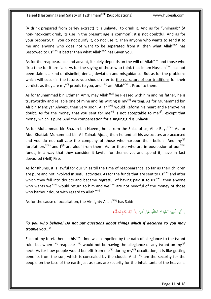(A drink prepared from barley extract) it is unlawful to drink it. And as for "Shilmaab" (A non-intoxicant drink, its use in the present age is common); it is not doubtful. And as for your property, till you do not purify it, do not use it. Then anyone who wants to send it to me and anyone who does not want to be separated from it, then what Allah $a^{2x}$  has Bestowed to us<sup>asws</sup> is better than what Allah<sup>azwj</sup> has Given you.

As for the reappearance and advent, it solely depends on the will of Allah<sup>azwj</sup> and those who fix a time for it are liars. As for the saying of those who think that Imam Hussain<sup>asws</sup> has not been slain is a kind of disbelief, denial, deviation and misguidance. But as for the problems which will occur in the future, you should refer to the narrators of our traditions for their verdicts as they are my<sup>ajfj</sup> proofs to you, and  $I<sup>ajfj</sup>$  am Allah<sup>azwj</sup>'s Proof to them.

As for Muhammad bin Uthman Amri, may Allah<sup>azwj</sup> be Pleased with him and his father, he is trustworthy and reliable one of mine and his writing is my<sup>ajfj</sup> writing. As for Muhammad bin Ali bin Mahziyar Ahwazi, then very soon, Allah<sup>azwj</sup> would Reform his heart and Remove his doubt. As for the money that you sent for me<sup>ajfj</sup> is not acceptable to me<sup>ajfj</sup>, except that money which is pure. And the compensation for a singing girl is unlawful.

As for Muhammad bin Shazan bin Naeem, he is from the Shias of us, Ahle Bayt<sup>asws</sup>. As for Abul Khattab Muhammad bin Ali Zainab Ajdaa, then he and all his associates are accursed and you do not cultivate the company of those who harbour their beliefs. And  $my^{a|t|}$ forefathers<sup>asws</sup> and l<sup>ajfj</sup> are aloof from them. As for those who are in possession of our<sup>asws</sup> funds, in a way that they consider it lawful for themselves and spend it, have in fact devoured (Hell) Fire.

As for Khums, it is lawful for our Shias till the time of reappearance, so far as their children are pure and not involved in sinful activities. As for the funds that are sent to us<sup>asws</sup> and after which they fell into doubts and became regretful of having paid it to us<sup>asws</sup>, then anyone who wants we<sup>asws</sup> would return to him and we<sup>asws</sup> are not needful of the money of those who harbour doubt with regard to Allah<sup>azwj</sup>.

As for the cause of occultation, the Almighty Allah<sup>azwj</sup> has Said:

ا<br>ا يا أَيُّهَا الَّذِينَ آمَنُوا لا تَسْئَلُوا عَنْ أَشْياءَ إِنْ تُبْدَ لَكُمْ تَسُؤُكُمْ ْ َ :<br>أما ا<br>ا ن ام<br>ا َ ِ َ ِ إ ٔ<br>ا **ٔ** ب ْ ْ ت

#### *"O you who believe! Do not put questions about things which if declared to you may trouble you…"*

Each of my forefathers in his<sup>asws</sup> time was compelled by the oath of allegiance to the tyrant ruler but when  $I^{affi}$  reappear  $I^{affi}$  would not be having the allegiance of any tyrant on my<sup>ajfj</sup> neck. As for how people would benefit from me<sup>ajfj</sup> during my<sup>ajfj</sup> occultation, it is like getting benefits from the sun, which is concealed by the clouds. And l<sup>ajfj</sup> am the security for the people on the face of the earth just as stars are security for the inhabitants of the heavens.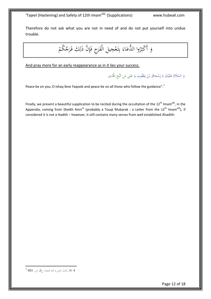Therefore do not ask what you are not in need of and do not put yourself into undue trouble.

ْ وا الدُّعَاءَ بِتَعْجِيلِ الْفَرَجِ فَإِنَّ ذَلِكَ فَرَجُكُمْ ر.<br>. ِ اِ ة<br>أ ر<br>- $\ddot{ }$ ِ<br>با .<br>برا  $\zeta$ ا<br>أ ُ وَ أَكْثِرُو  $\ddot{.}$ َ

And pray more for an early reappearance as in it lies your success.

َ وَ السَّلَامُ عَلَيْكَ يَا إِسْحَاقَ بْنَ يَعْقُوبَ وَ عَلى مَنِ اتَّبَعَ الْهُدى **ٔ** ؘ<br>֞ َ َ با<br>أ َ َ  $\zeta$ َ ا<br>ا

Peace be on you, O Ishaq Ibne Yaqoob and peace be on all those who follow the guidance".<sup>7</sup>

Finally, we present a beautiful supplication to be recited during the occultation of the  $12^{\text{th}}$  Imam<sup>ajfj</sup>, in the Appendix, coming from Sheikh Amri<sup>ra</sup> (probably a Touqi Mubarak : a Letter from the 12<sup>th</sup> Imam<sup>ajfj</sup>), if considered it is not a Hadith – however, it still contains many verses from well established Ahadith:

 7 4 .H ,كمالِالدينِوُِتامِالنعمةِ،جِ،2ص483ِ: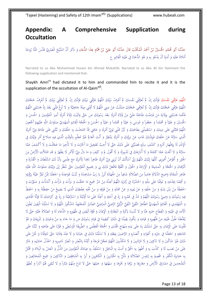### <span id="page-12-0"></span>**Appendix: A Comprehensive Supplication during Occultation**

#### حَدَّثَنَا أَبُو مُحَمَّدٍ الْحُسَيْنُ بْنُ أَحْمَدَ الْمُكَتِّبُ قَالَ حَدَّثَنَا أَبُو عَلِيِّ بْنُ هَمَّامٍ كِذَا الدُّعَاءِ وَ ذَكَرَ أَنَّ الشَّيْخَ الْعَمْرِيَّ قَدَّسَ اللَّهُ رُوحَهُ<br>ِ ٔ<br>ا َ ِ </sub> َ ب ِ َ .<br>أ َ َ **ـ ٍ** َ .<br>-ق<br>ق ام<br>ا َ َ ر<br>ا َ أَهْلَاهُ عَلَيْهِ وَ أَمَرَهُ أَنْ يَدْعُوَ بِهِ وَ هُوَ الدُّعَاءُ فِي غَيْبَةِ الْقَائِمِ ع ِ نم<br>عم ¦ َ ب ْ ر<br>د َ َ ∫<br>∙ ِ ب َ ُيا<br>ا َ ا<br>ا َ ∫<br>∙ **ٔ** </sub> ا<br>ا

Narrated to us Abu Muhammad Husain bin Ahmad Mukattib: Narrated to us Abu Ali bin Hammam the following supplication and mentioned that:

Shaykh Amri<sup>ra</sup> had dictated it to him and commanded him to recite it and it is the supplication of the occultation of Al-Qaim<sup>ajfj</sup>.

َ اللَّهُمَ عَرِّفْنِي نَفْسَكَ فَإِنَّكَ إِنْ لَمْ تُعَرِّفْنِي نَفْسَكَ لَمْ أَعْرِفْ نَبِيَّكَ اللَّهُمَّ عَرِّفْنِي نَبِيَّكَ وَإِنَّكَ إِنْ لَمْ تُعَرِّفْنِي نَبِيَّكَ لَمْ أَعْرِفْ حُجَّتَكَ ا<br>أ َ ٔ<br>ا ي ِ ب ڹ<br>ڐ ا<br>ا  $\overline{a}$ ٔ<br>ا .<br>أ َ  $\overline{a}$ ِ ِ ا<br>أ ا<br>ا **أ** ي ِ ب ڹ<br>أ .<br>أ َ **أ** ِ ِ ا<br>أ ي ِ ب نې<br>: <u>ٔ</u> َ .<br>ا اللَّهُمَّ عَرِّفْنِي حُجَّتَكَ فَإِنَّكَ إِنْ ۖ لَمَّ تُعَرِّفْنِي حُجَّتَكَ ضَلَلْتُ عَنْ دِينِي اللَّهُمَّ لَا تُُتِنِي مِيتَةً جَاهِلِيَّةً وَ لَا تُنِغْ قَلْبِي بَعْدَ إِذْ هَدَيْتَنِي اللَّهُمَّ .<br>أ َ  $\overline{a}$ ِ ِ ا<br>ا .<br>أ َ ِ<br>أ ت ِيا<br>ا ا<br>ا َ ِ إ ا<br>ا **ٔ** ا<br>ا َ ي ا ِ َ <u>ً</u> ِ <u>َ</u> ت <u>ِ</u> ∫<br>≃ فَكَمَا هَدَيْتَنِي بِوَلَايَةِ مَنَ فَرَضْتَ طَاعَتَهُ عَلَيَّ مِنْ وُلَاةِ أَمْرِكَ بَعْدَ رَسُولِكَ ص حَتَّى وَالَيْتَ وُلَاةً أَمْرِكَ أَمِيرَ الْمُؤْمِنِينَ وَ الْحُسَنَ وَ َ َ ِ َ **ٔ** َ ام<br>ا ِ ْ ِ َ <u>ً</u> ت ُ<br>گ َ ام<br>ا ِ یا<br>ا َ ِ ڹ<br>أ ت ْ ٔ<br>ا َ ا<br>ا .<br>ا ِ<br>ृ ا<br>ا ة<br>ا َ َ ٔ<br>ا َ ∫<br>∽ ن ِ ْ ة<br>أ الْحُسَيْنَ وَ عَلِيّاً وَ مُحَمَّداً وَ حَعْفَراً وَ مُوسَى وَ عَلِيّاً وَ عَلِيّاً وَ الْحَسَنَ وَ الْحُجَّةَ الْقَائِمَ الْمَهْدِيَّ صَلَوَاتُ اللَّهِ عَلَيْهِمْ أَجْمَعِينَ َ َ ا<br>ا َ ي ِ ي<br>ا َ َ ي ِ ي<br>ا َ َ **ٔ** َ َ َ ي <u>با</u> َ َ ِ ْ **ٔ** ء<br>ا ً ا َ ام<br>ا ِ ْ **ै** َ ِ ة<br>م ي ∫, اللَّهُمَّ فَتَبَّنْنِي عَلَى دِينِكَ وَ اسْتَعْمِلْنِي بِطَاعَتِكَ وَ لَيِّنْ قَلْبِي لِوَلِيِّ أَمْرِكَ وَ عَافِنِي مِمَّا امْتَحَنْتَ بِهِ خَلْقَكَ وَ تُبَّنْنِي عَلَى طَاعَةِ وَلِيِّ أَمْرِكَ َ <u>:</u> ب <u>با</u> ث َ َ َ ِ ِ <u>:</u> ن َ ت ام<br>ا ِ ِ ر<br>ا َ ا<br>ا م<br>م ِ َ ∫ ت ي:<br>أ **ٔ** ا<br>ا ت **ٔ** َ ِ ام<br>ا َ ة<br>4 ً<br>گ َ <u>ّ</u> ت َ الَّذِي سَتَرَتَهُ عَنْ خَلْقِكَ فَبِإِذْنِكَ غَابَ عَنْ بَرِيَّتِكَ وَ أَمْرَكَ يَنْتَظِرُ وَ أَنْتَ الْعَالِمُ غَيْرُ مُعَلَّمٍ بِالْوَقْتِ الَّذِي فِيهِ صَلَاحُ أَمْرِ وَلِيِّكَ فِي<br>ِ ت <u>ّ</u> ن ڸ<br>ؙ َ ا<br>ا َ ِ ا ب ْ ِ ِ ¦ ب َ ِ. َ ت ِ ي <u>ل</u> ل َ ام<br>ا ا<br>ا ِ ِ ة<br>أ َ ٍ<br>با َ ْ ا<br>ا َ :<br>ا َ الْإِذْنِ لَهُ بِإِظْهَارِ أَمْرِهِ وَ كَشْفِ سِتْرِهِ فَصَبِّرْيٍ عَلَى ذَلِكَ حَتَّى لَا أُحِبَّ تَعْجِيلَ مَا أَخَّرْتَ وَ لَا تَأْخِيرَ مَا عَجَّلْتَ وَ لَا أَكْشِفَ عَمَّا ام<br>ا ٍ ) َ ِ ً<br>گ ا<br>ا ا<br>ا ِ َ ا<br>ا  $\triangleleft$ Į, ب َ </sub> ام<br>ا ِّبِيْتِيْ َ َ َ سَتَرْتَهُ وَ لَا أَبْحَثَ عَمَّا كَتَمْتَهُ وَ لَا أُنَازِعَكَ فِي تَدْبِيرِكَ وَ لَا أَقُولَ لِمَ وَ كَيْفَ وَ مَا بَالُ وَلِيِّ الْأَمْرِ لَا يَظْهَرُ وَ قَدِ امْتَلَأَتِ الْأَرْضُ مِنَ<br>مَسَرَّتَهُ وَ لَا أَبْحَثَ عَمَ ا<br>ا م<br>ا َ َ ا<br>ا ِ َ َ َ <u>ً</u> ت ا<br>ا َ ت َ ∕ ت ام<br>ا ِ َ َ ا ا<br>ا الْحَوْرِ وَ أُفَوِّضُ أُمُورِي كُلَّهَا إِلَيْكَ اللَّهُمَّ إِنِّي أَسْأَلُكَ أَنْ تُرِيَنِي وَلِيَّ أَمْرِكَ ظَاهِراً نَافِذاً لِأَمْرِكَ مَعَ عِلْمِي بِأَنَّ لَكَ السُّلْطَانَ وَ الْقُدْرَةَ وَ ِ َ َ **ٔ** ئېنې<br>س َ ِ  $\zeta$ ام<br>أ ام<br>ا ِ َ ن  $\frac{1}{2}$ ِ ام<br>ا َ اب<br>ا **ٔ** ِ َ َ َ الْبُرْهَانَ وَ الْحُجَّةَ وَ الْمَشِيئَةَ وَ الْإِرَادَةَ وَ الْحُوْلَ وَ الْقُوَّةَ فَافْعَلْ ذَلِكَ بِي وَ بِجَمِيعِ الْمُؤْمِنِينَ حَتَّى نَنْظُرَ إِلَى وَلِيِّكَ صَلَوَاتُ اللَّهِ عَلَيْهِ َ ِ **ٔ** َ َ <u>ٔ</u> َ َ ا<br>ا َ َ ئ<br>ا َ َ َ ِ ْ َ ً ا َ ام<br>ا ي ِ ل َ **∣** إ ر<br>ا ن .<br>ا َ ∫<br>∽ ن ِ<br>ृ ْ ظَاهِرَ الْمَقَالَةِ وَاضِحَ الدَّلالَةِ هَادِياً مِنَ الضَّلَالَةِ شَافِياً مِنَ الْحُهَالَةِ أَبْرِزْ يَا رَبِّ مَشَاهِدَهُ وَ تُبِّتْ قَوَاعِدَهُ وَ اجْعَلْنَا مِمَّنْ تَقَرُّ عَيْنُهُ بِرُؤْيَتِهِ<br>. ٔ<br>ا ِ ُ. پا<br>ا ي .<br>ز **ٔ** ِ َ َ َ ِ<br>ृ ِ  $\ddot{a}$ َ ∫<br>∧ ∫, ا<br>ا ِ  $\zeta$ ا َ ; .<br>أ ا<br>ا .<br>ا ِ َ ֡֡<u>֓</u> ِ ا<br>أ َ ْ َ ٔ<br>ا َ ِ ت نة<br>أ ي ْ ِ ب ن ْ ي َ ام<br>ا وَ أَقِمْنَا بِجَلْمَتِهِ وَ تَوَفَّنَا عَلَى مِلَّتِهِ وَ احْشُرْنَا فِي زُمْرَتِهِ اللَّهُمَّ أَعِذْهُ مِنْ شَرِّ جَمِيعِ مَا خَلَقْتَ وَ بَرَأْتَ وَ أَنْشَأْتَ وَ صَوَّرْتَ وَ ِ ∫ ِ ت َ ْ َ ن ر<br>ا َ ِ ِ ت ِ َ : َ َ ِ ِ ت َ ٔ<br>ا ن ا<br>ا ِ َ َ ا<br>ا َ َ َ أْ َ ا<br>ا َ .<br>أ َ ِ احْفَظْهُ مِنْ بَيْنِ يَدَيْهِ وَ مِنْ خَلْفِهِ وَ عَنْ يَمِينِهِ وَ عَنْ شِمَالِهِ وَ مِنْ فَوْقِهِ وَ مِنْ تَحْتِهِ بِحِفْظِكَ الَّذِي لَا يَضِيعُ مَنْ حَفِظْتُهُ بِهِ وَ احْفَظْ َ ∫ ْ ي ً<br>ا ِ<br>با ي ْ ∫<br>∧ ْ <u>ً</u> ِ َ َ يا<br>ا ِ ِ ِ ت ْ ِ<br>∧ َ ِ ِ ،<br>. ْ **ٍ** َ ِ J ا َ ِ ِ ِ َ ْ َ ِ ∫<br>a َ َ ∫<br>} ِ ب ام<br>ا فِيهِ رَسُولَكَ وَ وَصِيَّ رَسُولِكَ اللَّهُمَّ وَ مُدَّ فِي عُمُرِهِ وَ زِدْ فِي أَخَلِهِ وَ أَعِنْهُ عَلَى مَا أَوْلَيْتَهُ وَ اسْتَرْعَيْتَهُ وَ زِدْ فِي كَرَامَتِكَ لَهُ فَإِنَّهُ الْحَادِي </sub> ن َ ِ ِ َ <u>ٔ</u> َ َ ِ َ َ َ َ ِ ∫<br>≃ ا ِ َ ِ ت ام<br>ا َ <u>ٔ</u> َ ا<br>أ ت ْ ي َ َ ا<br>أ ت ֡֬֟ <u>ٔ</u> وَ الْمُهْتَدِي وَ الْقَائِمُ الْمَهْدِيُّ الطَّاهِرُ التَّقِيُّ الزَّيْيُّ الرَّضِيُّ الْمَرْضِيُّ الصَّابِرُ الْمُحْتَهِدُ الشَّكُورُ اللَّهُمَّ وَ لَا تَسْلُبْنَا الْيَقِينَ لِطُولِ<br>مَسْتَكُورُ اللَّهُمَّ وَ لَا تَسْلُ ِ .<br>ا َ ِ ِ ِ ِ ْ ا<br>ا ∫<br>∫ ُ<br>گ َ ِ ت **ٰ** َ **ٔ** ا<br>ا َ <u>َ</u> ت ْ ِ .<br>م ∶ٌ ان<br>ا ن الْأَمَدِ فِي غَيْبَتِهِ وَ انْقِطَاعِ خَبَرِهِ عَنَّا وَ لَا تُنْسِنَا ذِكْرَهُ وَ انْتِظَارَهُ وَ الْإِيمَانَ وَ قُوَّةَ الْيَقِينِ فِي ظُهُورِهِ وَ الدُّعَاءَ لَهُ وَ الصَّاَدَةَ عَلَيْهِ حَتَّى لَا ة<br>م َ ا َ َ ∫ ت <u>َ</u> َ َ ِ ا<br>ا ن ن َ َ ِ ِ יִ ِ َ ِ ِ ت ِ<br>ا ب **ٔ** ِ َ َ ∫<br>} ْ َ َ ا<br>ا َ َ ِ ان<br>ا ي ∫<br>∕ يُقَنِّطْنَا طُولُ غَيْبَتِهِ مِنْ ظُهُورِهِ وَ قِيَامِهِ وَ يَكُونَ يَقِينُنَا فِي ذَلِكَ كَيَقِينِنَا فِي قِيَامِ رَسُولِكَ ص وَ مَا جَاءَ بِهِ مِنْ وَحْيِكَ وَ تَنْزِيلِكَ وَ قَوِّ ِ ِ ت ؘ<br>֞ ب **ٔ** :<br>أ ُ<br>ف ِ ي ْ َ **: ∕** ً ِ ب </sub> َ ام<br>ا َ ِ ُل<br>ا ∶ٌ ي ِ :<br>ا ن ِ ِ ابا<br>ا ِ :<br>ا ن ِ یا<br>ا ِ<br>ب ي َ ِ ∫<br>∕ ا<br>ا ي ِ و<br>د ْ َ َ ِ **:** ن ِّ َ قُلُوبَنَا عَلَى الْإِيمَانِ بِهِ حَتَّى تَسْلُكَ بِنَا عَلَى يَدِهِ مِنْهَاجَ الْهُدَى وَ الْحُجَّةَ الْعُظْمَى وَ الطَّرِيقَةَ الْوُسْطَى وَ قَوِّنَا عَلَى طَاعَتِهِ وَ تُبَّنْنَا عَلَى <u>َ</u> َ  $\zeta$ َ ن ِ ِ ∫ ِيا<br>ِ ً<br>گ ا<br>ا ن ِ ا<br>ا َ ِ ِ ب ا<br>ا ر<br>د :<br>ا ن َ َ ا<br>أ ن ْ َ ∫<br>} ِ ت َ َ .<br>ا ن َ ة<br>أ َ **ै** ∫<br>∙ مُتَابَعَتِهِ وَ اجْعَلْنَا فِي حِزْبِهِ وَ أَعْوَانِهِ وَ أَنْصَارِهِ وَ الرَّاضِينَ بِفِعْلِهِ وَ لَا تَسْلُبْنَا ذَلِكَ فِي حَيَاتِنَا وَ لَا تَسْتَمَوْ أَنَّا حَتَّى تَتَوَفَّانَا وَ نَخْنُ عَلَى ِ ت َ َ ت ِ J **ٔ** ∫<br>∫ ِ ا َ ا<br>ا َ ِ<br>ٍہ ِ<br>پا َ َ ِ<br>ٍہ .<br>أ :<br>ا َ ْ َ َ ا<br>أ ن ِ َ َ ن َ ا<br>أ ن ِ ∶ٌ ي َ ِ ا<br>أ ن **ٔ** ا<br>ا َ </sub> َ :<br>ا َ ت َ ِ ب دَّلِكَ غَيْرَ شَاكِّينَ وَ لَا نَاكِثِينَ وَ لَا مُرْتَابِينَ وَ لَا مُكَذِّبِينَ اللَّهُمَّ عَجِّلْ فَرَجَهُ وَ أَيِّدْهُ بِالنَّصْرِ وَ انْصُرْ نَاصِرِيهِ وَ اخْذُلْ خَاذِلِيهِ وَ دَمِّرْ<br>مُسَمَّد الْمَدُلْ حَاذِلِيهِ و َ َ ُن<br>ا ٍ<br>پا َ ∫<br>} نا<br>أ ت .<br>. َ ِ ث َ َ ِّ ا ْ J ر<br>ا َ ∫<br>} ِ ل ِ َ **ٔ** َ ∫<br>} :<br>ا ن .<br>. َ ْ عَلَى مَنْ نَصَبَ لَهُ وَ كَذَّبَ بِهِ وَ أَظْهِرْ بِهِ الْحَقَّ وَ أَمِتْ بِهِ الْبَاطِلَ وَ اسْتَنْقِذْ بِهِ عِبَادَكَ الْمُؤْمِنِينَ مِنَ الذُّلِّ وَ انْعَشْ بِهِ الْبِلَادَ وَ اقْتُلْ<br>. َ َ ٍ<br>پا َ َ ن ٍ ) ا<br>ا ِ ∫<br>} ∫<br>∧ َ ئۇ ِ ِ<br>با ب .<br>ا َ ِ **ٔ** ا<br>ا ِ ً ِ َ َ ِ<br>ृ ∫<br>∽ ن ِ<br>ृ ْ ا<br>ا ؘ<br>ؖ ب ِ ٍ<br>پ ِ ن ا<br>أ ت **ٔ** َ <u>َ</u> بِهِ جَبَابِرَةَ الْكُفْرِ وَ اقْصِمْ بِهِ رُءُوسَ الضَّلَالَةِ وَ ذَلِّلْ بِهِ الْجُبَّارِينَ وَ الْكَافِرِينَ وَ أَبِرْ بِهِ الْمُنَافِقِينَ وَ النَّاكِثِينَ وَ جَمِيعَ الْمُخَالِفِينَ وَ<br>. ِ ِ<br>با ب <sup>(</sup> <u>ا</u><br>ا َ .<br>أ <u>َ</u> َ ∫<br>H ا<br>ا ب َ ِ ٍ<br>پا َ َ ب َ ِ ٍ<br>پا ب <sup>أ</sup> َ ِ َ ِ ِ َ  $\zeta$ َ ِ ث َ ِ ِ .<br>ا ن ∫<br>} ِ ب ر<br>ا ِ َ َ ِ ِ<br>∧ الْمُلْحِدِينَ فِي مَشَارِقِ الْأَرْضِ وَ مَغَارِهِمَا وَ بَرِّهَا وَ سَهْلِهَا وَ جَبَلِهَا حَتَّى لَا تَدَعَ مِنْهُمْ دَيَّاراً وَ لَا تُبْقِيَ لَهُمْ آثَاراً وَ تُطَهِّرَ َ َ َ ِ ا<br>ا ب َ َ َ ِ ْ ا<br>ا َ ا<br>ا <u>ٔ</u> َ ا<br>ا ا<br>ا َ ا َ َ </sub> .<br>أ َ ∫  $\overline{\mathsf{l}}$ ْ َ ِ **ٔ** ب ي <u>َ</u> <sup> $\mathfrak{c}$ </sup> ن َ م<br>ت َ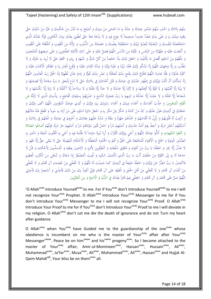مِنْهُمْ بِلَادَكَ وَ اشْفِ مِنْهُمْ صُدُورَ عِبَادِكَ وَ حَدِّدْ بِهِ مَا امْتَحَى مِنْ دِينِكَ وَ أَصْلِحْ بِهِ مَا بُدِّلَ مِنْ حُكْمِكَ وَ غَيِّرْ مِنْ سُنَّتِكَ حَتَّى ∫<br>∽ ∫<br>≃ **ٔ** ِ<br>∧ ت ا<br>ا ام<br>ا ∫<br>} ِ<br>با ب <u>ّ</u> َ َ ∫<br>≃ ا<br>ا ب ً<br>ا ن ∫<br>∕ ا َ ا<br>ا ٍٍٍٍٍٍٍٍٍٍٍٍٍٍٍٍٍٍٍٍٍٍٍٍٍٍٍٍٍٍٍ ب <sup>أ</sup> ن َ ِ ِ .<br>ا َ ِ ام<br>ا ِ ∫<br>} ب ْ ِ ٔ أ َ ً يَعُودَ دِينُكَ بِهِ وَ عَلَى يَدَيْهِ غَضّاً حَدِيداً صَحِيحاً لَا عِوَجَ فِيهِ وَ لَا بِدْعَةَ مَعَهُ حَتَّى تُطْفِئَ بِعَدْلِهِ نِيزانَ الْكَافِرِينَ فَإِنَّهُ عَبْدُكَ الَّذِي ا<br>ا ِ َ ِ ْ ي ٔ<br>ا ِّ َ َ ِ ٍ<br>پا ∫, ا<br>ا ُبا<br>ا ∫<br>∪ ْ ب َ ِ َ :<br>ا ِ ا  $\overline{a}$ ِ ن ।<br>। ِ ِ ب ء<br>ا ِ ً<br>، َ ام<br>ا َ ِ َ ।<br>। ِ  $\zeta$ َ اسْتَحْلَصْتَهُ لِنَفْسِكَ وَ ارْتَضَيْتَهُ لِنُصْرَةِ نَبِيِّكَ وَ اصْطَفَيْتَهُ بِعِلْمِكَ وَ عَصَمْتَهُ مِنَ الذُّنُوبِ وَ بَرَّأْتَهُ مِنَ الْغُيُوبِ وَ أَطْلَعْتَهُ عَلَى الْغُيُوبِ َ ِ <u>َ</u> ت ام<br>ا ا<br>ا َ ِ ∫<br>} ب ا<br>أ ت ׇ֖֦֖֦֖֚֚֚֚֚֚֚֡֬֟ ي َ َ ي ِ ب ن<br>أ ن َ ن ِ ل ن<br>ا ت .<br>: ت .<br>ا َ : ن ِ ل ن<br>ا <u>ل</u> ت ا<br>ا ا ي َ الم<br>ا ت **ٔ** َ ي َ ِ ِ<br>پا وَ أَنْعَمْتَ عَلَيْهِ وَ طَهَّرْتَهُ مِنَ الرِّجْسِ وَ نَقَّيْتَهُ مِنَ الذَّنَسِ اللَّهُمَّ فَصَلِّ عَلَيْهِ وَ عَلَى الْبَائِهِ الْأَئِمَّةِ الطَّاهِرِينَ وَ عَلَى شِيعَتِهِمُ الْمُنْتَجَبِينَ<br>\*\*\*\*\*\*\*\*\*\*\*\*\*\*\*\*\*\*\*\*\*\*\*\*\* ا<br>ا </sub> َ ِ **ٔ** ً<br>گ .<br>أ َ ِ<br>ٌ َ ت ْ َ َ ْ َ ∕, ت .<br>ا َ ِ **ٔ** َ َ َ ِ ب َ ت <u>َ</u> ن ِ ت َ َ َ َ ِ ¦ ِ ٍ<br>ٍٍ وَ بَلِّغْهُمْ مِنْ آمَالِهِمْ أَفْضَلَ مَا يَأْمُلُونَ وَ اجْعَلْ ذَلِكَ مِنَّا خَالِصاً مِنْ كُلِّ شَكٍّ وَ شَبْهَةٍ وَ رِيَاءٍ وَ سُمْعَةٍ حَتَّى لَا نُرِيدَ بِهِ غَيْرَكَ وَ لَا َ َ َ ٍ<br>ء اپ<br>ا َ *<u>2</u>* َ **ٔ** َ ْ ِ<br>∧ َ ِ ِ ْ ْ َ َ ام<br>ا ٍ<sup>ا</sup> .<br>ا ْ ام<br>ا ْ ∫<br>∕ <sup>(</sup> َ  $\overline{a}$ ْ ِ<br>ا ِ ب ا<br>ا َ <u>ہ</u> َ َ نَطْلُبَ بِهِ إِلَّا وَجْهَكَ اللَّهُمَّ إِنَّا نَشْكُو إِلَيْكَ فَقْدَ نَبِيِّنَا وَ غَيْبَةَ وَلِيِّنَا وَ شِدَّةَ الزَّمَانِ عَلَيْنَا وَ وَقُوعَ الْفِتَنِ بِنَا وَ تَظَاهُرَ الْأَعْدَاءِ عَلَيْنَا وَ : ي<br>و ِ ب ني<br>أ ن ٔ<br>ا ِ ِ ٔ<br>. َ إ ِ ِ ب َ ن َ ا<br>ا ن ْ َ ِ ا<br>ا ر<br>ا ت َ اند<br>ا ن ِ<br>با ب ِ َ َ : ن ْ ر<br>د َ ة<br>ا َ ا<br>ا ي ِ ل َ ا<br>ا ب **ٔ** كَثْرَةَ عَذُوِّنَا وَ قِلَّةَ عَدَدِنَا اللَّهُمَّ فَافْرُجْ ذَلِكَ بِفَتْحٍ مِنْكَ تُعَجِّلُهُ وَ نَصْرٍ مِنْكَ تُعِزُّهُ وَ إِمَامِ عَدْلٍ تُظْهِرُهُ إِلَهَ الْحُقِّ رَبَّ الْعَالَمِينَ اللَّهُمَّ<br>يَدِّدُ عَدُوِّنَا وَ ِ ن ِ<br>∧ ن َ َ ن ِ <u>:</u> ت ُمُ ِ ِ  $\zeta$ نا<br>ا ن ∫, ِ َ َ َ ام<br>ا ِ إ َ َ َ ا<br>ا ً<br>م ِ إ بر<br>ت نَّا نَسْأَلُكَ أَنْ تَأْذَنَ لِوَلِيِّكَ فِي إِظْهَارِ عَدْلِكَ فِي عِبَادِكَ وَ قَتْلِ أَعْدَائِكَ فِي بِلَادِكَ حَتَّى لَا تَدَعَ لِلْحَوْرِ يَا رَبِّ دِعَامَةً إِلَّا قَصَمْتَهَا وَ<br>. َ ∫, ِ ِ<br>ئا ا<br>ا <u>ّ</u> ت َ ∫<br>≃ َ ب ِ  $\ddot{\phantom{0}}$ ي ِ ل َ ؚ<br>لو َ ا<br>ا ِ إ َ َ ت ْ ام<br>ا إ <u>ة</u> ام<br>ا َ ∫<br>≃ َ يا<br>ا ،<br>' َ ِ ل َ ت ِ لَا بِنْيَةً إِلَّا أَفْنَيْتَهَا وَ لَا قُوَّةً إِلَّا أَوْهَنْتَهَا وَ لَا رَكْناً إِلَّا هَدَدْتَهُ وَ لَا حَدّاً إِلَّا فَلَلْتَهُ وَ إِلَا اَكْلَلْتَهُ وَ لَا رَايَةً إِلَّا نَكَّسْتَهَا وَ لَا<br>. ت <u>ّ</u> ا<br>ا َ َ ت <u>ّ</u> ن ا<br>ا <u>ٔ</u> إ  $\ddot{\epsilon}$ َ َ ت ْ ي ِّ  $\ddot{\phantom{a}}$ ا<br>ا ي :<br>أ ن ا<br>أ َ ا<br>أ َ إ  $\overline{a}$ ا َ َ يا<br>ا َ َ َ َ ت ا<br>ا .<br>ا ن شُّحَاعاً إِلَّا قَتَلْتَهُ وَ لَا جَيْشاً إِلَّا خَذَلْتَهُ وَ ارْمِهِمْ يَا رَبِّ بِحَجَرِكَ الدَّامِغِ وَ اضْرِبْهُمْ بِسَيْفِكَ الْقَاطِعِ وَ بِبَأْسِكَ الَّذِي لَا تَرُدُّهُ عَنِ<br>. ي َ َ :<br>أ :<br>أ ت ُ َ ِ ا<br>ا ب ِ ب َ ة<br>م ِ ْ ي ٔ<br>ا ب ْ ا<br>ا ا َ ∫<br>∧ َ َ ُپا ي <sup> $\mathfrak{c}$ </sup> ∫<br>∧ <u>ّ</u> َ <u>ً</u> َ َ الْقَوْمِ الْمُجْرِمِينَ وَ عَذِّبْ أَعْدَاءَكَ وَ أَعْدَاءَ دِينِكَ وَ أَعْدَاءَ رَسُولِكَ بِيَدِ وَلِيِّكَ وَ<br>الْقَوْمِ الْمُجْرِمِينَ وَ عَذِّبْ أَعْدَاءَكَ وَ أَعْدَاءَ دِينِكَ وَ أَعْدَاءَ رَسُولِكَ بِيَدِ وَلِيِّكَ و ∫<br>∕ ْ ∣<br>∂ **ٔ** ِ ْ َ ي ِ ل َ ِ ا<br>ا ي ِ ِ َ ا<br>ا ا<br>ا َ ِ ∫<br>∹ ا<br>ا ٔ<br>ا َ ا<br>ا ٔ<br>ا َ َ َ ي ِ ل َ ِ ن ِ ْ ِ ؚ<br>ؘ ب َ حُجَّتَكَ فِي أَرْضِكَ هَوْلَ عَدُوِّهِ وَ كِدْ مَنْ كَادَهُ وَ امْكُرْ بِمَنْ مَكَرَ بِهِ وَ اجْعَلْ دَائِرَةَ السَّوْءِ عَلَى مَنْ أَرَادَ بِهِ سُوءاً وَ اقْطَعْ عَنْهُ مَادَّتَهُمْ َ ِ **ٔ** ة<br>أ َ <u>ِ</u> ا<br>ا **ٔ** ْ َ ِ ِ ب َ ام<br>ا .<br>ا ِ .<br>. ام<br>ا َ <u>ً</u> ْ ام<br>ا َ ِ **ٔ** َ <u>ّ</u> م<br>ا ن َ <u>ل</u> َ ∫<br>} ِ ب ٔ<br>ا َ ْ ام<br>ا وَ أَرْعِبْ لَهُ قُلُوبَهُمْ وَ زَلْزِلْ لَهُ أَقْدَامَهُمْ وَ خُذْهُمْ جَهْرَةً وَ بَغْتَةً وَ شَدِّدْ عَلَيْهِمْ عِقَابَكَ وَ أَخْزِهِمْ فِي عِبَادِكَ وَ الْعَنْهُمْ فِي بِلَادِكَ وَ <u>ّ</u> َ ْ ِ ْ َ ِ<br>م ْ **ٔ** ً<br>گ َ :<br>أ ت ُ<br>ْ ا<br>ا َ َ **€** َ َ ْ َ ً<br>ا لْ <u>َ</u> َ <sup>(</sup> ا<br>ا َ ∫<br>≃ ِ ْ ن َ َ ∫<br>≃ ؘ<br>ؖ ب  $\frac{1}{2}$ أَسْكِنْهُمْ أَسْفَلَ نَارِكَ وَ أَحِطْ بِهِمْ أَشَدَّ عَذَابِكَ وَ أَصْلِهِمْ نَاراً وَ احْشُ قُبُورَ مَوْتَاهُمْ نَاراً وَ أَصْلِهِمْ حَرَّ نَارِكَ فَإِنَّهُمْ أَضاعُوا الصَّلاةَ<br>. نا<br>ا ن ْ ِ **ٔ** َ ∫<br>¦ ر<br>ا <sup>(</sup> َ َ ن ٍ ) ا<br>ا <sup>أ</sup> ن ْ ِ َ .<br>ا ن َ ِ **ٔ** َ .<br>ا ن <sup> $\mathfrak{c}$ </sup> ِّ ت <u>ٔ</u> ام<br>ا َ ب َ ة<br>م وَ اتَّبَعُوا الشَّهَواتِ وَ أَذَلُّوا عِبَادَكَ اللَّهُمَّ وَ أَحْيِ بِوَلِيِّكَ الْقُرْآنَ وَ أَرِنَا نُورَهُ سَرْمَداً لَا ظُلْمَةَ فِيهِ وَ أَحْيِ بِهِ الْقُلُوبَ الْمَيْتَةَ وَ اشْفِ بِهِ َ َ َ ْ َ ِ ِ.<br>فرا <u>ة</u> **ै** َ <u>ّا</u> ا<br>ا َ .<br>ا َ .<br>. ي ِ ل َ ِ ْ َ ا<br>ا ا<br>ا ب َ ∫<br>∫ ِ ا َ <u>ہ</u> ت ֦֖֖֦֖֦֖֖֖֖֖֖֖֖֖֖֖֧֧֦֖֧֦֧֧֦֧֧֦֧֧֦֧֦֧֚֚֚֚֚֚֚֚֚֚֚֚֚֚֚֚֚֚֚֚֚֚֚֡֬֟֓֕֝֓֟֓֞֝֓֞֝֓֞֝֓֞֝ ي َ ∫<br>∫ ِ ب الْصُّدُورَ الْوَغِرَةَ وَ اجْمَعْ بِهِ الْأَهْوَاءَ الْمُحْتَلِفَةَ عَلَى الْحَقِّ وَ أَقِمْ بِهِ الْخُدُودَ الْمُعَطَّلَةَ وَ الْأَحْكَامَ الْمُهْمَلَةَ حَتَّى لَا يَبْقَى حَقٌّ إِلَّا ظَهَرَ وَ<br>يَا يَا الْمَجْمَعِ الْمَ َ َ ً<br>گ l, <u>ب</u> ا<br>ا َ ِ ِ ب ْ ا َ َ ؙ<sup>ؚ</sup> َ َ ر<br>ا َ َ **ٔ** ب َ َ َ **ائی** مُ ْ َ ا<br>ا ِ ِ ب ْ ِ ∫<br>} لَا عَدْلٌ إِلَّا زَهَرَ وَ اجْعَلْنَا يَا رَبِّ مِنْ أَعْوَانِهِ وَ مُقَوِّي سُلْطَانِهِ وَ الْمُؤْتَمِرِينَ لِأَمْرِهِ وَ الرَّاضِينَ بِفِعْلِهِ وَ الْمُسَلِّمِينَ لِأَحْكَامِهِ وَ مِمَّنْ لَا ِ َ ∫<br>} ِ َ .<br>ا ∫<br>∧ َ ؘ<br>֞ :<br>ا َ ْ َ َ َ ∫<br>} ِ **ٔ** ِ بِإِ ا َ ا<br>ا َ ∫<br>⊬ َ .<br>أ ِ َ ً ِ ْ ٔ<br>ا َ ا<br>ا حَاجَةَ لَهُ بِهِ إِلَى التَّقِيَّةِ مِنْ خَلْقِكَ أَنْتَ يَا رَبِّ الَّذِي تَكْشِفُ السُّوءَ وَ تُجِيبُ الْمُضْطَرَّ إِذَا دَعَاكَ وَ تُنَجِّي مِنَ الْكَرْبِ الْعَظِيمِ ِ إ َ </sub> َ ِ َ پا<br>ا .<br>أ ِ َ ∫<br>∧ ِ ي ِ ِ إ ِ ِ<br>با ب ٍ<br>أ َ َ ر<br>ا َ ِ<br>∧ ن َ ِ ل َ فَاكْشِفْ يَا رَبِّ الضُّرَّ عَنْ وَلِيِّكَ وَ اجْعَلْهُ خَلِيفَةً فِي أَرْضِكَ كَمَا ضَمِنْتَ لَهُ اللَّهُمَّ وَ لَا تَجْعَلْنِي مِنْ خُصَمَاءِ آلِ مُحَمَّدٍ وَ لَا تَجْعَلْنِي ْ َ َ َ .<br>∙ ِ َ ام<br>ا ِ َ َ **:** ن َ <u>ّ</u>  $\ddot{\phantom{a}}$ ِ َ َ ْ َ َ مِنْ أَعْدَاءِ آلِ مُحَمَّدٍ وَ لَا تَحْعَلْنِي مِنْ أَهْلِ الْحَنَقِ وَ الْغَيْظِ عَلَى آلِ مُحَمَّدٍ فَإِنِّ أَعُوذُ بِكَ مِنْ ذَلِكَ فَأَعِنْـنِي وَ أَسْتَجِيرُ بِكَ فَأَجِرْنِي<br>ِ ِ َ **ٍ** ر<br>ا **ٔ** ي َ َ ان<br>ا ن ُ<br>ا <u>ا</u> **ٔ** ∫<br>∕ َ َ **ٍ** ِ **ـ** ْ ر<br>ا َ ِ ب ت **ٔ** َ َ ِ ْ **∕** ِ اللَّهُمَّ صَلِّ عَلَى مُحَمَّدٍ وَ آلِ مُحَمَّدٍ وَ اجْعَلْنِي مِِمْ فَائِزاً عِنْدَكَ فِي الدُّنْيا وَ الْأَخِرَةِ وَ مِنَ الْمُقَرَّبِينَ. ن ِ<br>پُر <u>ً</u> ْ َ ْ َ .<br>∙ َ ∫<br>} ً<br>گ َ ِ<br>∕ َ َ َ :<br>أ

'O Allah<sup>azwj</sup> Introduce Yourself<sup>azwj</sup> to me. For if You<sup>azwj</sup> don't Introduce Yourself<sup>azwj</sup> to me I will not recognize Your<sup>azwj</sup> Prophet. O Allah<sup>azwj</sup> Introduce Your<sup>azwj</sup> Messenger to me for if You don't introduce Your<sup>azwj</sup> Messenger to me I will not recognize Your<sup>azwj</sup> Proof. O Allah<sup>azwj</sup> Introduce Your Proof to me for if You<sup>azwj</sup> don't Introduce Your<sup>azwj</sup> Proof to me I will deviate in my religion. O Allah<sup>azwj</sup> don't Let me die the death of ignorance and do not Turn my heart after guidance.

O Allah<sup>azwj</sup> when You<sup>azwj</sup> have Guided me to the guardianship of the one<sup>asws</sup> whose obedience is incumbent on me who is the master of Your<sup>azwj</sup> affair after Your<sup>azwj</sup> Messenger<sup>saww</sup>. Peace be on him<sup>saww</sup> and his<sup>saww</sup> progeny<sup>asws</sup>. So I became attached to the master of Your<sup>azwj</sup> affair, Amir-ul-Momineen<sup>asws</sup>, Hassan<sup>asws</sup>, Hussain<sup>asws</sup>, Ali<sup>asws</sup>, Muhammad<sup>asws</sup>, Ja'far<sup>asws</sup>, Musa<sup>asws</sup>, Ali<sup>asws</sup>, Muhammad<sup>asws</sup>, Ali<sup>asws</sup>, Hassan<sup>asws</sup> and Hujjat Al-Qaim Mahdi<sup>ajfj</sup>, Your bliss be on them<sup>asws</sup> all.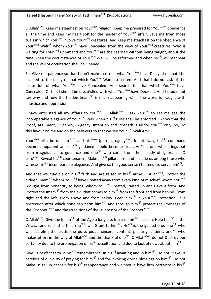O Allah<sup>azwj</sup>, Keep me steadfast on Your<sup>azwj</sup> religion, Keep me prepared for Your<sup>azwj</sup> obedience all the time and Keep my heart soft for the master of Your<sup>azwj</sup> affair. Save me from those trials in which You<sup>azwj</sup> involve Your<sup>azwj</sup> creatures. And Keep me steadfast on the obedience of Your<sup>azwj</sup> Wali<sup>ajfj</sup> whom You<sup>azwj</sup> have Concealed from the view of Your<sup>azwj</sup> creatures. Who is waiting for Your<sup>azwj</sup> Command and You<sup>azwj</sup> are the Learned without being taught, about the time when the circumstances of Your<sup>azwj</sup> Wali will be reformed and when he<sup>ajfj</sup> will reappear and the veil of occultation shall be Opened.

So, Give me patience so that I don't make haste in what You<sup>azwj</sup> have Delayed or that I be inclined to the delay of that which You<sup>azwj</sup> Want to hasten. And that I do not ask of the exposition of what You<sup>azwj</sup> have Concealed. And search for that which You<sup>azwj</sup> have Concealed. Or that I should be dissatisfied with what You<sup>azwj</sup> have Decreed. And I should not say why and how the hidden Imam<sup>ajfj</sup> is not reappearing while the world is fraught with injustice and oppression.

I have entrusted all my affairs to You<sup>azwj</sup>. O Allah<sup>azwj</sup>, I ask You<sup>azwj</sup> to Let me see the incomparable elegance of Your<sup>azwj</sup> Wali when his<sup>ajfj</sup> rules shall be enforced. I know that the Proof, Argument, Evidence, Exigency, Intention and Strength is all for You<sup>azwj</sup> only. So, Do this favour on me and on the believers so that we see Your<sup>azwj</sup> Wali Amr.

Your<sup>azwj</sup> bliss be on him<sup>saww</sup> and his<sup>saww</sup> (pure) progeny<sup>asws</sup>. In this way, his<sup>ajfjj</sup> command becomes apparent and his<sup>ajfj</sup> guidance should become clear. He<sup>ajfj</sup> is one who brings out from misguidance to guidance and one<sup>ajfj</sup> who cures from the malady of ignorance. O Lord<sup>azwj</sup>, Reveal his<sup>ajfj</sup> countenance, Make his<sup>ajfj</sup> pillars firm and Include us among those who witness his<sup>ajfj</sup> incomparable elegance. And give us the good sense (Taufeeq) to serve him<sup>ajfj</sup>.

And that we may die on his<sup>ajfj</sup> faith and are raised in his<sup>ajfj</sup> army. O Allah<sup>azwj</sup>, Protect the hidden Imam<sup>ajfj</sup> whom You<sup>azwj</sup> have Created away from every kind of mischief, whom You<sup>azwj</sup> Brought from nonentity to being, whom You<sup>azwj</sup> Created, Raised up and Gave a form. And Protect the Imam<sup>ajfj</sup> from the evil that comes to him<sup>ajfj</sup> from the front and from behind. From right and the left. From above and from below. Keep him<sup>ajfj</sup> in Your<sup>azwj</sup> Protection. In a protection after which none can harm him<sup>ajfj</sup>. And through him<sup>ajfj</sup> protect the (message of the) Prophet<sup>saww</sup> and the (traditions of the) successor of the Prophet<sup>asws</sup>.

O Allah<sup>azwj</sup>, Give the Imam<sup>ajfj</sup> of the Age a long life. Increase his<sup>ajfj</sup> lifespan. Help him<sup>ajfj</sup> in the Wilayat and ruler-ship that You<sup>azwj</sup> will Grant to him<sup>ajfj</sup>. He<sup>ajfj</sup> is the guided one, one<sup>ajfj</sup> who will establish the truth, the pure, pious, sincere, content, pleasing, patient, one<sup>ajfj</sup> who makes effort in the way of Allah<sup>azwj</sup> and the thankful one<sup>ajfj</sup>. O Allah<sup>azwj</sup>, do not Destroy our certainty due to the prolongation of his<sup>ajfj</sup> occultation and due to lack of news about him<sup>ajfj</sup>.

Give us perfect faith in his<sup>ajfj</sup> remembrance, in his<sup>ajfj</sup> awaiting and in him<sup>ajfj</sup>. Do not Make us careless of our duty of praying for him<sup>ajfj</sup> and for invoking divine blessings on him<sup>ajfj</sup>. Do not Make us fall in despair for his<sup>ajfj</sup> reappearance and we should have firm certainty in his<sup>ajfj</sup>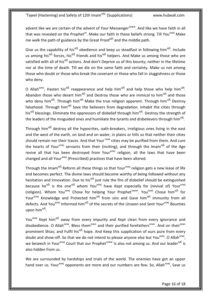advent like we are certain of the advent of Your Messenger<sup>saww</sup>. And like we have faith in all that was revealed on the Prophet<sup>as</sup>. Make our faith in these beliefs strong. Till You<sup>azwj</sup> Make me walk the path of guidance by the Great Proofajfj and the middle path.

Give us the capability of his<sup>ajfj</sup> obedience and keep us steadfast in following him<sup>ajfj</sup>. Include us among his<sup>ajfj</sup> forces, his<sup>ajfj</sup> friends and his<sup>ajfj</sup> helpers. And Make us among those who are satisfied with all of his<sup>ajfj</sup> actions. And don't Deprive us of this bounty; neither in the lifetime nor at the time of death. Till we die on the same faith and certainty. Make us not among those who doubt or those who break the covenant or those who fall in sluggishness or those who deny.

O Allah<sup>azwj</sup>, Hasten his<sup>ajfj</sup> reappearance and help him<sup>ajfj</sup> and help those who help him<sup>ajfj</sup>. Abandon those who desert him<sup>ajfj</sup> and Destroy those who are inimical to him<sup>ajfj</sup> and those who deny him<sup>ajfj</sup>. Through him<sup>ajfj</sup> Make the true religion apparent. Through him<sup>ajfj</sup> Destroy falsehood. Through him<sup>ajfj</sup> Save the believers from degradation. Inhabit the cities through his<sup>ajfj</sup> blessings. Eliminate the oppressors of disbelief through him<sup>ajfj</sup>. Destroy the strength of the leaders of the misguided ones and humiliate the tyrants and disbelievers through him<sup>ajfj</sup>.

Through him<sup>ajfj</sup> destroy all the hypocrites, oath-breakers, irreligious ones living in the east and the west of the earth, on land and on water, in plains or hills so that neither their cities should remain nor their traces. And that Your azwj cities may be purified from them. And cure the hearts of Your<sup>azwj</sup> servants from their (inciting), and through the Imam<sup>ajfj</sup> of the Age revive all that has been destroyed from Your<sup>azwj</sup> religion, all the laws that have been changed and all Your<sup>azwj</sup> (Prescribed) practices that have been altered.

Through the Imam<sup>ajfj</sup> Reform all these things so that Your<sup>azwj</sup> religion gets a new lease of life and becomes perfect. The divine laws should become worthy of being followed without any hesitation and innovation. Due to his<sup>ajfj</sup> just rule the fire of disbelief should be extinguished because he<sup>ajfj</sup> is the one<sup>ajfj</sup> whom You<sup>azwj</sup> have Kept especially for (revival of) Your<sup>azwj</sup> (religion). Whom You<sup>azwj</sup> Chose for helping Your Prophet<sup>saww</sup>. You<sup>azwj</sup> Chose him<sup>ajfj</sup> for Your<sup>azwj</sup> Knowledge and Protected him<sup>ajfj</sup> from sins and Gave him<sup>ajfj</sup> immunity from all defects. And You<sup>azwj</sup> Informed him<sup>ajfj</sup> of the secrets of the Unseen and Sent Your<sup>azwj</sup> Bounties upon him<sup>ajfj</sup>.

You<sup>azwj</sup> Kept him<sup>ajfj</sup> away from every impurity and Kept clean from every ignorance and disobedience. O Allah<sup>azwj</sup>, Bless them<sup>asws</sup> and their purified forefathers<sup>asws</sup>. And on their<sup>asws</sup> prominent Shias; and Fulfil his<sup>ajfj</sup> hope. And Keep this supplication of ours pure from every doubt and show-off. So that we do not intend to please anyone else but You<sup>azwj</sup>. O Allah<sup>azwj</sup>, we beseech in Your<sup>azwj</sup> Court that our Prophet<sup>saww</sup> is also not among us. And our leader<sup>ajfj</sup> is also hidden from us.

We are surrounded by hardships and trials of the world. The enemies have got an upper hand over us. Your<sup>azwj</sup> opponents are more and our numbers are few. So, Allah<sup>azwj</sup>, Save us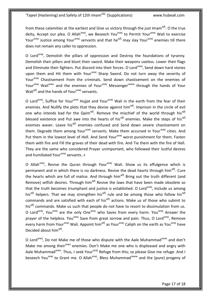from these calamities at the earliest and Give us victory through the just Imam<sup>ajfj</sup>. O the true deity, Accept our plea. O Allah<sup>azwj</sup>, we Beseech You<sup>azwj</sup> to Permit Your<sup>azwj</sup> Wali to exercise Your<sup>azwj</sup> Justice among Your<sup>azwj</sup> servants and that he<sup>ajfj</sup> may slay Your<sup>azwj</sup> enemies till there does not remain any caller to oppression.

O Lord<sup>azwj</sup>, Demolish the pillars of oppression and Destroy the foundations of tyranny. Demolish their pillars and blunt their sword. Make their weapons useless. Lower their flags and Eliminate their fighters. Put discord into their forces. O Lord<sup>azwj</sup>, Send down hard stones upon them and Hit them with Your<sup>azwj</sup> Sharp Sword. Do not turn away the severity of Your<sup>azwj</sup> Chastisement from the criminals. Send down chastisement on the enemies of Your<sup>azwj</sup> Wali<sup>asws</sup> and the enemies of Your<sup>azwj</sup> Messenger<sup>saww</sup> through the hands of Your Wali<sup>ajfj</sup> and the hands of Your<sup>azwj</sup> servants.

O Lord<sup>azwj</sup>, Suffice for Your<sup>azwj</sup> Hujjat and Your<sup>azwj</sup> Wali in the earth from the fear of their enemies. And Nullify the plots that they devise against him<sup>ajfj</sup>. Imprison in the circle of evil one who intends bad for the Qaim<sup>ajfj</sup>. Remove the mischief of the world through his<sup>ajfj</sup> blessed existence and Put awe into the hearts of his<sup>ajfj</sup> enemies. Make the steps of his<sup>ajfj</sup> enemies waver. Leave his<sup>ajfj</sup> enemies confused and Send down severe chastisement on them. Degrade them among Your<sup>azwj</sup> servants. Make them accursed in Your<sup>azwj</sup> cities. And Put them in the lowest level of Hell. And Send Your<sup>azwj</sup> worst punishment for them. Fasten them with fire and Fill the graves of their dead with fire. And Tie them with the fire of Hell. They are the same who considered Prayer unimportant, who followed their lustful desires and humiliated Your $^{azwj}$  servants..+

O Allah<sup>azwj</sup>, Revive the Quran through Your<sup>azwj</sup> Wali. Show us its effulgence which is permanent and in which there is no darkness. Revive the dead hearts through him<sup>ajfj</sup>. Cure the hearts which are full of malice. And through him<sup>ajfj</sup> Bring out the truth different (and Remove) selfish desires. Through him<sup>ajfj</sup> Revive the laws that have been made obsolete so that the truth becomes triumphant and justice is established. O Lord<sup>azwj</sup>, Include us among his<sup>ajfj</sup> helpers. That we may strengthen his<sup>ajfj</sup> rule and be among those who follow his<sup>ajfj</sup> commands and are satisfied with each of his<sup>ajfj</sup> actions. Make us of those who submit to his<sup>ajfj</sup> commands. Make us such that people do not have to resort to dissimulation from us. O Lord<sup>azwj</sup>, You<sup>azwj</sup> are the only One<sup>azwj</sup> who Saves from every harm. You<sup>azwj</sup> Answer the prayer of the helpless. You<sup>azwj</sup> Save from great sorrow and pain. Thus, O Lord<sup>azwj</sup>, Remove every harm from Your<sup>azwj</sup> Wali. Appoint him<sup>ajfj</sup> as Your<sup>azwj</sup> Caliph on the earth as You<sup>azwj</sup> have Decided about him<sup>ajfj</sup>.

O Lord<sup>azwj</sup>, Do not Make me of those who dispute with the Aale Muhammad<sup>asws</sup> and don't Make me among their<sup>asws</sup> enemies. Don't Make me one who is displeased and angry with Aale Muhammad<sup>asws</sup>. Thus, I seek Your<sup>azwj</sup> Refuge from this; so please Give me refuge. And I beseech You<sup>azwj</sup> to Grant me. O Allah<sup>azwj</sup>, Bless Muhammad<sup>saww</sup> and the (pure) progeny of